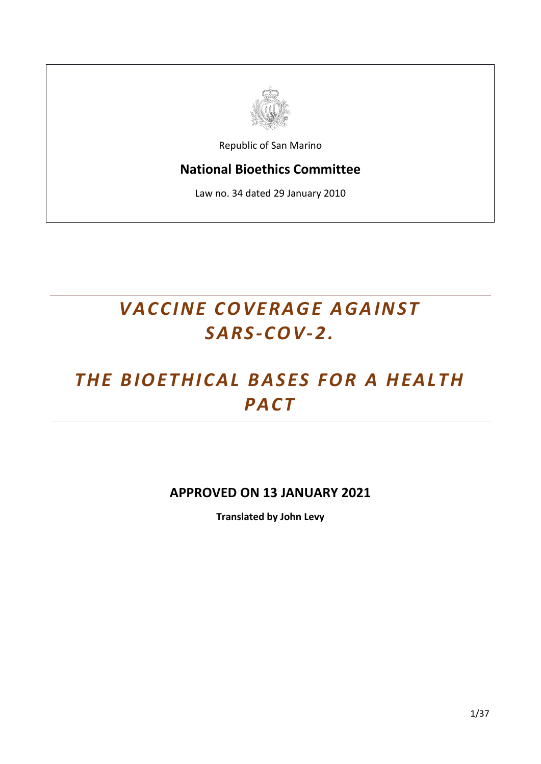

Republic of San Marino

# **National Bioethics Committee**

Law no. 34 dated 29 January 2010

# *VACCINE COVERAGE AGAINST S A R S -C OV-2.*

# THE BIOETHICAL BASES FOR A HEALTH *PA C T*

# **APPROVED ON 13 JANUARY 2021**

**Translated by John Levy**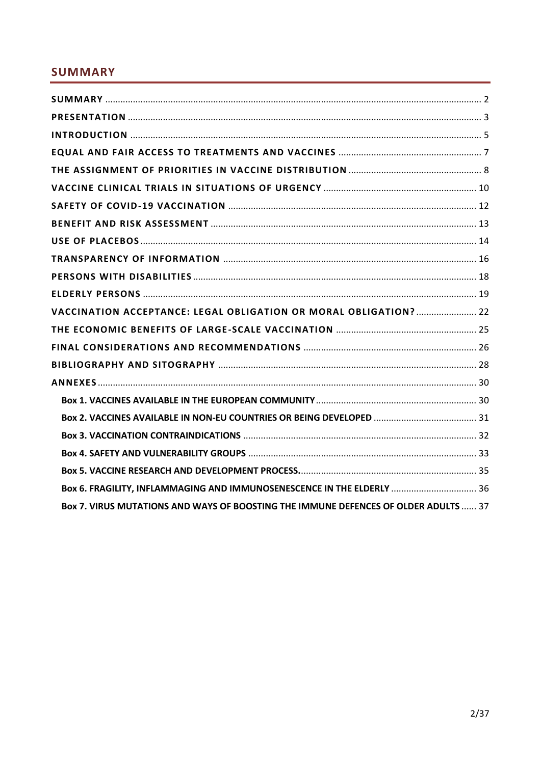# <span id="page-1-0"></span>**SUMMARY**

| VACCINATION ACCEPTANCE: LEGAL OBLIGATION OR MORAL OBLIGATION?  22                   |  |
|-------------------------------------------------------------------------------------|--|
|                                                                                     |  |
|                                                                                     |  |
|                                                                                     |  |
|                                                                                     |  |
|                                                                                     |  |
|                                                                                     |  |
|                                                                                     |  |
|                                                                                     |  |
|                                                                                     |  |
| Box 6. FRAGILITY, INFLAMMAGING AND IMMUNOSENESCENCE IN THE ELDERLY  36              |  |
| Box 7. VIRUS MUTATIONS AND WAYS OF BOOSTING THE IMMUNE DEFENCES OF OLDER ADULTS  37 |  |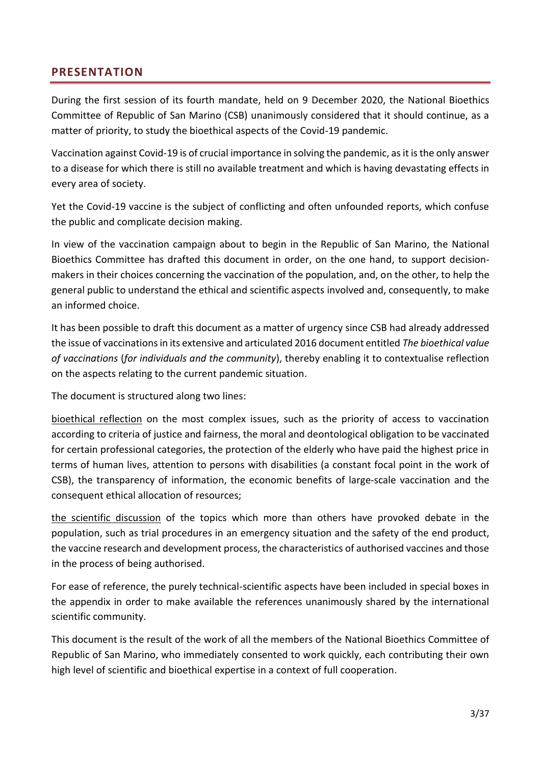## <span id="page-2-0"></span>**PRESENTATION**

During the first session of its fourth mandate, held on 9 December 2020, the National Bioethics Committee of Republic of San Marino (CSB) unanimously considered that it should continue, as a matter of priority, to study the bioethical aspects of the Covid-19 pandemic.

Vaccination against Covid-19 is of crucial importance in solving the pandemic, as it is the only answer to a disease for which there is still no available treatment and which is having devastating effects in every area of society.

Yet the Covid-19 vaccine is the subject of conflicting and often unfounded reports, which confuse the public and complicate decision making.

In view of the vaccination campaign about to begin in the Republic of San Marino, the National Bioethics Committee has drafted this document in order, on the one hand, to support decisionmakers in their choices concerning the vaccination of the population, and, on the other, to help the general public to understand the ethical and scientific aspects involved and, consequently, to make an informed choice.

It has been possible to draft this document as a matter of urgency since CSB had already addressed the issue of vaccinations in its extensive and articulated 2016 document entitled *The bioethical value of vaccinations* (*for individuals and the community*), thereby enabling it to contextualise reflection on the aspects relating to the current pandemic situation.

The document is structured along two lines:

bioethical reflection on the most complex issues, such as the priority of access to vaccination according to criteria of justice and fairness, the moral and deontological obligation to be vaccinated for certain professional categories, the protection of the elderly who have paid the highest price in terms of human lives, attention to persons with disabilities (a constant focal point in the work of CSB), the transparency of information, the economic benefits of large-scale vaccination and the consequent ethical allocation of resources;

the scientific discussion of the topics which more than others have provoked debate in the population, such as trial procedures in an emergency situation and the safety of the end product, the vaccine research and development process, the characteristics of authorised vaccines and those in the process of being authorised.

For ease of reference, the purely technical-scientific aspects have been included in special boxes in the appendix in order to make available the references unanimously shared by the international scientific community.

This document is the result of the work of all the members of the National Bioethics Committee of Republic of San Marino, who immediately consented to work quickly, each contributing their own high level of scientific and bioethical expertise in a context of full cooperation.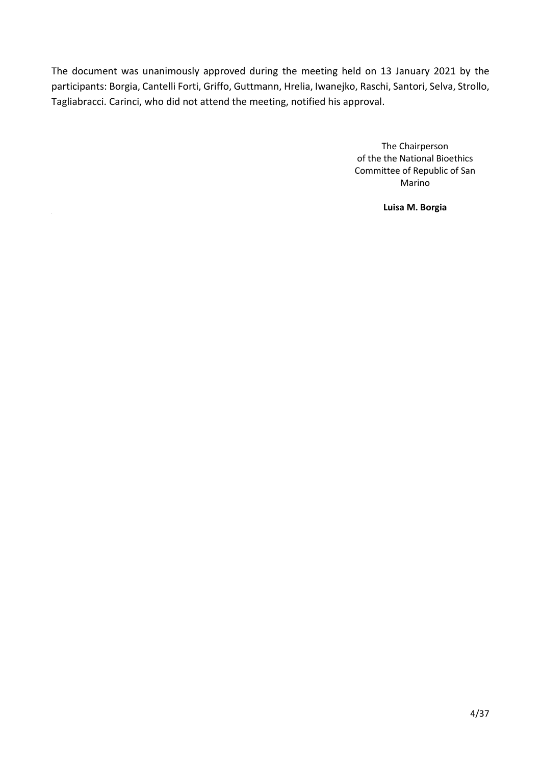The document was unanimously approved during the meeting held on 13 January 2021 by the participants: Borgia, Cantelli Forti, Griffo, Guttmann, Hrelia, Iwanejko, Raschi, Santori, Selva, Strollo, Tagliabracci. Carinci, who did not attend the meeting, notified his approval.

> The Chairperson of the the National Bioethics Committee of Republic of San Marino

> > **Luisa M. Borgia**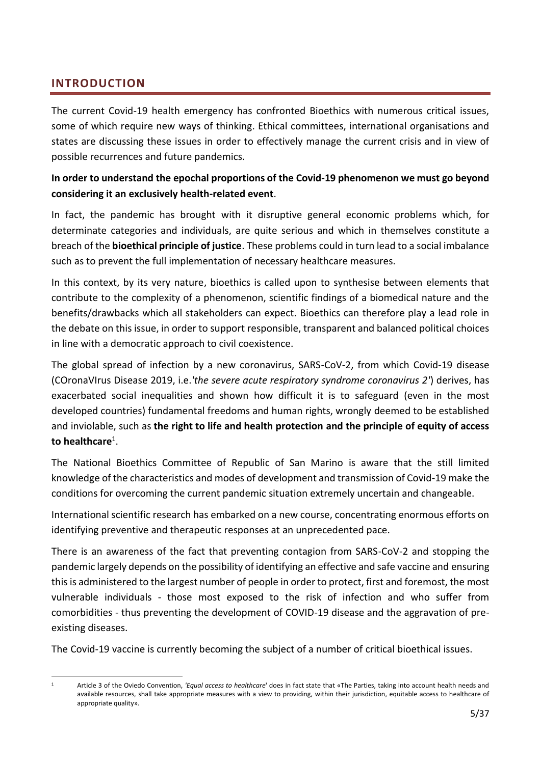## <span id="page-4-0"></span>**INTRODUCTION**

The current Covid-19 health emergency has confronted Bioethics with numerous critical issues, some of which require new ways of thinking. Ethical committees, international organisations and states are discussing these issues in order to effectively manage the current crisis and in view of possible recurrences and future pandemics.

## **In order to understand the epochal proportions of the Covid-19 phenomenon we must go beyond considering it an exclusively health-related event**.

In fact, the pandemic has brought with it disruptive general economic problems which, for determinate categories and individuals, are quite serious and which in themselves constitute a breach of the **bioethical principle of justice**. These problems could in turn lead to a social imbalance such as to prevent the full implementation of necessary healthcare measures.

In this context, by its very nature, bioethics is called upon to synthesise between elements that contribute to the complexity of a phenomenon, scientific findings of a biomedical nature and the benefits/drawbacks which all stakeholders can expect. Bioethics can therefore play a lead role in the debate on this issue, in order to support responsible, transparent and balanced political choices in line with a democratic approach to civil coexistence.

The global spread of infection by a new coronavirus, SARS-CoV-2, from which Covid-19 disease (COronaVIrus Disease 2019, i.e.*'the severe acute respiratory syndrome coronavirus 2'*) derives, has exacerbated social inequalities and shown how difficult it is to safeguard (even in the most developed countries) fundamental freedoms and human rights, wrongly deemed to be established and inviolable, such as **the right to life and health protection and the principle of equity of access to healthcare**<sup>1</sup> .

The National Bioethics Committee of Republic of San Marino is aware that the still limited knowledge of the characteristics and modes of development and transmission of Covid-19 make the conditions for overcoming the current pandemic situation extremely uncertain and changeable.

International scientific research has embarked on a new course, concentrating enormous efforts on identifying preventive and therapeutic responses at an unprecedented pace.

There is an awareness of the fact that preventing contagion from SARS-CoV-2 and stopping the pandemic largely depends on the possibility of identifying an effective and safe vaccine and ensuring this is administered to the largest number of people in order to protect, first and foremost, the most vulnerable individuals - those most exposed to the risk of infection and who suffer from comorbidities - thus preventing the development of COVID-19 disease and the aggravation of preexisting diseases.

The Covid-19 vaccine is currently becoming the subject of a number of critical bioethical issues.

<sup>1</sup> Article 3 of the Oviedo Convention, *'Equal access to healthcare*' does in fact state that «The Parties, taking into account health needs and available resources, shall take appropriate measures with a view to providing, within their jurisdiction, equitable access to healthcare of appropriate quality»*.*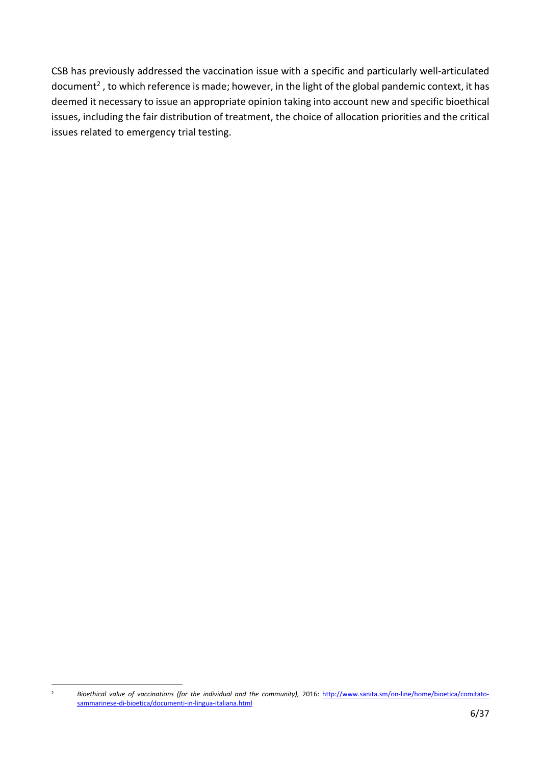CSB has previously addressed the vaccination issue with a specific and particularly well-articulated document<sup>2</sup>, to which reference is made; however, in the light of the global pandemic context, it has deemed it necessary to issue an appropriate opinion taking into account new and specific bioethical issues, including the fair distribution of treatment, the choice of allocation priorities and the critical issues related to emergency trial testing.

<sup>&</sup>lt;sup>2</sup> *Bioethical value of vaccinations (for the individual and the community), 2016:* [http://www.sanita.sm/on-line/home/bioetica/comitato](http://www.sanita.sm/on-line/home/bioetica/comitato-sammarinese-di-bioetica/documenti-in-lingua-italiana.html)[sammarinese-di-bioetica/documenti-in-lingua-italiana.html](http://www.sanita.sm/on-line/home/bioetica/comitato-sammarinese-di-bioetica/documenti-in-lingua-italiana.html)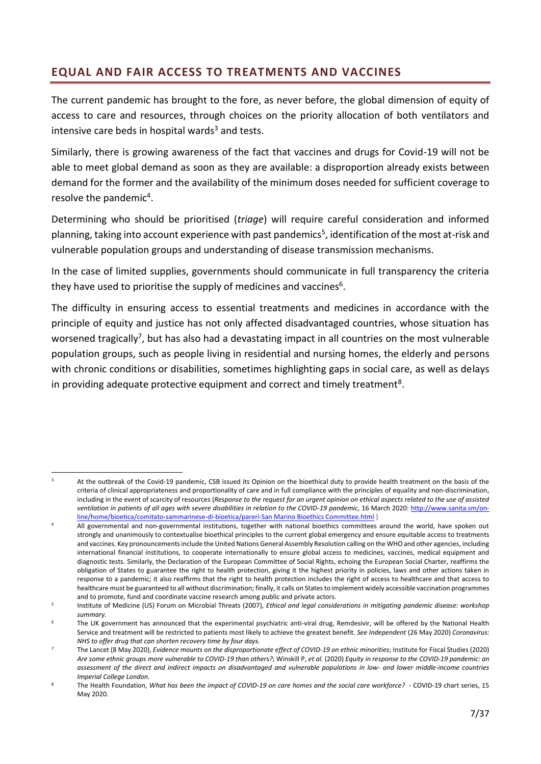# <span id="page-6-0"></span>**EQUAL AND FAIR ACCESS TO TREATMENTS AND VACCINES**

The current pandemic has brought to the fore, as never before, the global dimension of equity of access to care and resources, through choices on the priority allocation of both ventilators and intensive care beds in hospital wards $3$  and tests.

Similarly, there is growing awareness of the fact that vaccines and drugs for Covid-19 will not be able to meet global demand as soon as they are available: a disproportion already exists between demand for the former and the availability of the minimum doses needed for sufficient coverage to resolve the pandemic<sup>4</sup>.

Determining who should be prioritised (*triage*) will require careful consideration and informed planning, taking into account experience with past pandemics<sup>5</sup>, identification of the most at-risk and vulnerable population groups and understanding of disease transmission mechanisms.

In the case of limited supplies, governments should communicate in full transparency the criteria they have used to prioritise the supply of medicines and vaccines<sup>6</sup>.

The difficulty in ensuring access to essential treatments and medicines in accordance with the principle of equity and justice has not only affected disadvantaged countries, whose situation has worsened tragically<sup>7</sup>, but has also had a devastating impact in all countries on the most vulnerable population groups, such as people living in residential and nursing homes, the elderly and persons with chronic conditions or disabilities, sometimes highlighting gaps in social care, as well as delays in providing adequate protective equipment and correct and timely treatment<sup>8</sup>.

<sup>&</sup>lt;sup>3</sup> At the outbreak of the Covid-19 pandemic, CSB issued its Opinion on the bioethical duty to provide health treatment on the basis of the criteria of clinical appropriateness and proportionality of care and in full compliance with the principles of equality and non-discrimination, including in the event of scarcity of resources (*Response to the request for an urgent opinion on ethical aspects related to the use of assisted ventilation in patients of all ages with severe disabilities in relation to the COVID-19 pandemic*, 16 March 2020[: http://www.sanita.sm/on](http://www.sanita.sm/on-line/home/bioetica/comitato-sammarinese-di-bioetica/pareri-csb.html)[line/home/bioetica/comitato-sammarinese-di-bioetica/pareri-San Marino Bioethics Committee.html](http://www.sanita.sm/on-line/home/bioetica/comitato-sammarinese-di-bioetica/pareri-csb.html) )

All governmental and non-governmental institutions, together with national bioethics committees around the world, have spoken out strongly and unanimously to contextualise bioethical principles to the current global emergency and ensure equitable access to treatments and vaccines. Key pronouncements include the United Nations General Assembly Resolution calling on the WHO and other agencies, including international financial institutions, to cooperate internationally to ensure global access to medicines, vaccines, medical equipment and diagnostic tests. Similarly, the Declaration of the European Committee of Social Rights, echoing the European Social Charter, reaffirms the obligation of States to guarantee the right to health protection, giving it the highest priority in policies, laws and other actions taken in response to a pandemic; it also reaffirms that the right to health protection includes the right of access to healthcare and that access to healthcare must be guaranteed to all without discrimination; finally, it calls on States to implement widely accessible vaccination programmes and to promote, fund and coordinate vaccine research among public and private actors.

<sup>5</sup> Institute of Medicine (US) Forum on Microbial Threats (2007), *[Ethical and legal considerations in mitigating](https://www.ncbi.nlm.nih.gov/books/NBK54171/) [pandemic disease: workshop](https://www.ncbi.nlm.nih.gov/books/NBK54171/)  [summary.](https://www.ncbi.nlm.nih.gov/books/NBK54171/)*

<sup>6</sup> The UK government has announced that the experimental psychiatric anti-viral drug, Remdesivir, will be offered by the National Health Service and treatment will be restricted to patients most likely to achieve the greatest benefit. *See Independent* (26 May 2020) *Coronavirus: NHS to offer drug that can shorten recovery time by four days.*

<sup>7</sup> The Lancet (8 May 2020), *[Evidence mounts on the disproportionate effect of COVID-19 on ethnic minorities](https://www.thelancet.com/journals/lanres/article/PIIS2213-2600(20)30228-9/fulltext)*; Institute for Fiscal Studies (202[0\)](https://www.ifs.org.uk/publications/14827) *[Are some ethnic groups more vulnerable to COVID-19 than others?](https://www.ifs.org.uk/publications/14827)*; Winskill P, *et al.* (2020) *[Equity](https://www.imperial.ac.uk/media/imperial-college/medicine/mrc-gida/2020-05-12-COVID19-Report-22.pdf) [in response to the COVID-19 pandemic: an](https://www.imperial.ac.uk/media/imperial-college/medicine/mrc-gida/2020-05-12-COVID19-Report-22.pdf)  [assessment of the direct and indirect impacts on disadvantaged and](https://www.imperial.ac.uk/media/imperial-college/medicine/mrc-gida/2020-05-12-COVID19-Report-22.pdf) vulnerable populations in low- [and lower middle-income countries](https://www.imperial.ac.uk/media/imperial-college/medicine/mrc-gida/2020-05-12-COVID19-Report-22.pdf)  Imperial College London*.

<sup>8</sup> The Health Foundation, *What has been the impact of [COVID-19 on care homes and the social care](https://www.health.org.uk/news-and-comment/charts-and-infographics/what-has-been-the-impact-of-covid-19-on-care-homes-and-social-care-workforce) [workforce?](https://www.health.org.uk/news-and-comment/charts-and-infographics/what-has-been-the-impact-of-covid-19-on-care-homes-and-social-care-workforce)* - COVID-19 chart series, 15 May 2020.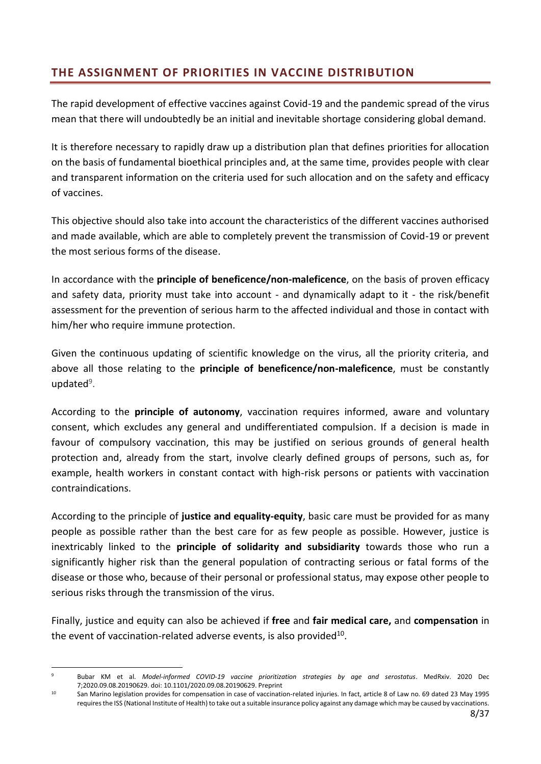# <span id="page-7-0"></span>**THE ASSIGNMENT OF PRIORITIES IN VACCINE DISTRIBUTION**

The rapid development of effective vaccines against Covid-19 and the pandemic spread of the virus mean that there will undoubtedly be an initial and inevitable shortage considering global demand.

It is therefore necessary to rapidly draw up a distribution plan that defines priorities for allocation on the basis of fundamental bioethical principles and, at the same time, provides people with clear and transparent information on the criteria used for such allocation and on the safety and efficacy of vaccines.

This objective should also take into account the characteristics of the different vaccines authorised and made available, which are able to completely prevent the transmission of Covid-19 or prevent the most serious forms of the disease.

In accordance with the **principle of beneficence/non-maleficence**, on the basis of proven efficacy and safety data, priority must take into account - and dynamically adapt to it - the risk/benefit assessment for the prevention of serious harm to the affected individual and those in contact with him/her who require immune protection.

Given the continuous updating of scientific knowledge on the virus, all the priority criteria, and above all those relating to the **principle of beneficence/non-maleficence**, must be constantly updated<sup>9</sup>.

According to the **principle of autonomy**, vaccination requires informed, aware and voluntary consent, which excludes any general and undifferentiated compulsion. If a decision is made in favour of compulsory vaccination, this may be justified on serious grounds of general health protection and, already from the start, involve clearly defined groups of persons, such as, for example, health workers in constant contact with high-risk persons or patients with vaccination contraindications.

According to the principle of **justice and equality-equity**, basic care must be provided for as many people as possible rather than the best care for as few people as possible. However, justice is inextricably linked to the **principle of solidarity and subsidiarity** towards those who run a significantly higher risk than the general population of contracting serious or fatal forms of the disease or those who, because of their personal or professional status, may expose other people to serious risks through the transmission of the virus.

Finally, justice and equity can also be achieved if **free** and **fair medical care,** and **compensation** in the event of vaccination-related adverse events, is also provided $^{10}$ .

<sup>9</sup> Bubar KM et al. *Model-informed COVID-19 vaccine prioritization strategies by age and serostatus*. MedRxiv. 2020 Dec 7;2020.09.08.20190629. doi: 10.1101/2020.09.08.20190629. Preprint

<sup>&</sup>lt;sup>10</sup> San Marino legislation provides for compensation in case of vaccination-related injuries. In fact, article 8 of Law no. 69 dated 23 May 1995 requires the ISS (National Institute of Health) to take out a suitable insurance policy against any damage which may be caused by vaccinations.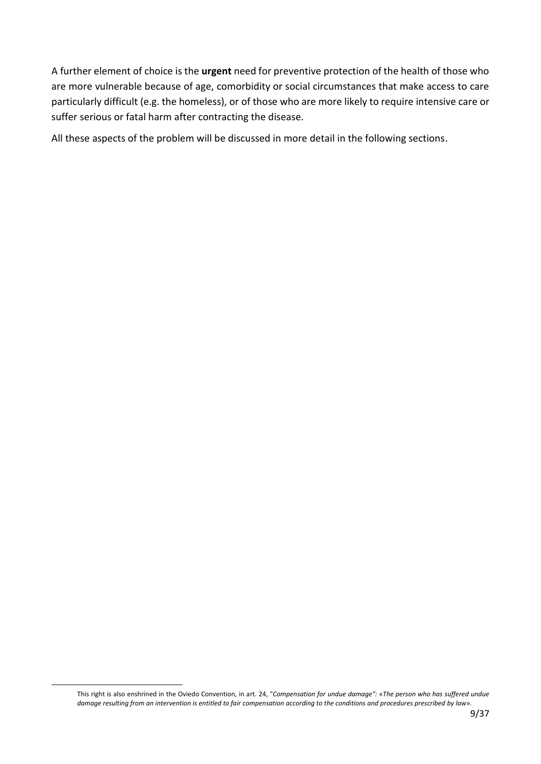A further element of choice is the **urgent** need for preventive protection of the health of those who are more vulnerable because of age, comorbidity or social circumstances that make access to care particularly difficult (e.g. the homeless), or of those who are more likely to require intensive care or suffer serious or fatal harm after contracting the disease.

All these aspects of the problem will be discussed in more detail in the following sections.

This right is also enshrined in the Oviedo Convention, in art. 24, "*Compensation for undue damage":* «*The person who has suffered undue damage resulting from an intervention is entitled to fair compensation according to the conditions and procedures prescribed by law*»*.*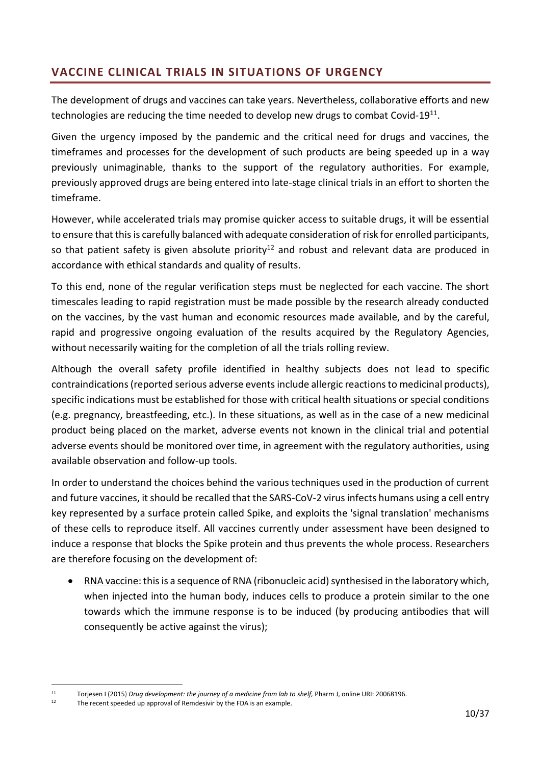# <span id="page-9-0"></span>**VACCINE CLINICAL TRIALS IN SITUATIONS OF URGENCY**

The development of drugs and vaccines can take years. Nevertheless, collaborative efforts and new technologies are reducing the time needed to develop new drugs to combat Covid-19 $^{11}$ .

Given the urgency imposed by the pandemic and the critical need for drugs and vaccines, the timeframes and processes for the development of such products are being speeded up in a way previously unimaginable, thanks to the support of the regulatory authorities. For example, previously approved drugs are being entered into late-stage clinical trials in an effort to shorten the timeframe.

However, while accelerated trials may promise quicker access to suitable drugs, it will be essential to ensure that this is carefully balanced with adequate consideration of risk for enrolled participants, so that patient safety is given absolute priority<sup>12</sup> and robust and relevant data are produced in accordance with ethical standards and quality of results.

To this end, none of the regular verification steps must be neglected for each vaccine. The short timescales leading to rapid registration must be made possible by the research already conducted on the vaccines, by the vast human and economic resources made available, and by the careful, rapid and progressive ongoing evaluation of the results acquired by the Regulatory Agencies, without necessarily waiting for the completion of all the trials rolling review.

Although the overall safety profile identified in healthy subjects does not lead to specific contraindications (reported serious adverse events include allergic reactions to medicinal products), specific indications must be established for those with critical health situations or special conditions (e.g. pregnancy, breastfeeding, etc.). In these situations, as well as in the case of a new medicinal product being placed on the market, adverse events not known in the clinical trial and potential adverse events should be monitored over time, in agreement with the regulatory authorities, using available observation and follow-up tools.

In order to understand the choices behind the various techniques used in the production of current and future vaccines, it should be recalled that the SARS-CoV-2 virus infects humans using a cell entry key represented by a surface protein called Spike, and exploits the 'signal translation' mechanisms of these cells to reproduce itself. All vaccines currently under assessment have been designed to induce a response that blocks the Spike protein and thus prevents the whole process. Researchers are therefore focusing on the development of:

• RNA vaccine: this is a sequence of RNA (ribonucleic acid) synthesised in the laboratory which, when injected into the human body, induces cells to produce a protein similar to the one towards which the immune response is to be induced (by producing antibodies that will consequently be active against the virus);

<sup>11</sup> Torjesen I (2015) *[Drug development: the journey of a medicine from lab to shelf,](https://www.pharmaceutical-journal.com/publications/tomorrows-pharmacist/drug-development-the-journey-of-a-medicine-from-lab-to-shelf/20068196.article)* Pharm J, online URI: 20068196.

The recent speeded up approval of Remdesivir by the FDA is an example.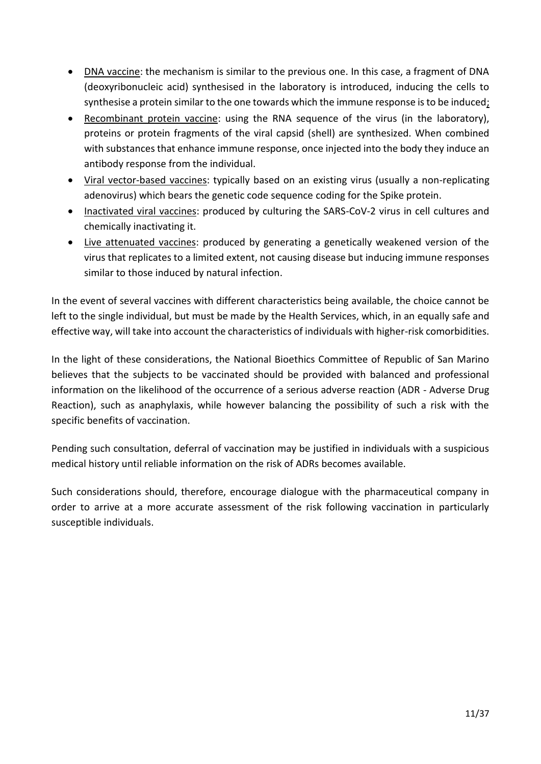- DNA vaccine: the mechanism is similar to the previous one. In this case, a fragment of DNA (deoxyribonucleic acid) synthesised in the laboratory is introduced, inducing the cells to synthesise a protein similar to the one towards which the immune response is to be induced;
- Recombinant protein vaccine: using the RNA sequence of the virus (in the laboratory), proteins or protein fragments of the viral capsid (shell) are synthesized. When combined with substances that enhance immune response, once injected into the body they induce an antibody response from the individual.
- Viral vector-based vaccines: typically based on an existing virus (usually a non-replicating adenovirus) which bears the genetic code sequence coding for the Spike protein.
- Inactivated viral vaccines: produced by culturing the SARS-CoV-2 virus in cell cultures and chemically inactivating it.
- Live attenuated vaccines: produced by generating a genetically weakened version of the virus that replicates to a limited extent, not causing disease but inducing immune responses similar to those induced by natural infection.

In the event of several vaccines with different characteristics being available, the choice cannot be left to the single individual, but must be made by the Health Services, which, in an equally safe and effective way, will take into account the characteristics of individuals with higher-risk comorbidities.

In the light of these considerations, the National Bioethics Committee of Republic of San Marino believes that the subjects to be vaccinated should be provided with balanced and professional information on the likelihood of the occurrence of a serious adverse reaction (ADR - Adverse Drug Reaction), such as anaphylaxis, while however balancing the possibility of such a risk with the specific benefits of vaccination.

Pending such consultation, deferral of vaccination may be justified in individuals with a suspicious medical history until reliable information on the risk of ADRs becomes available.

Such considerations should, therefore, encourage dialogue with the pharmaceutical company in order to arrive at a more accurate assessment of the risk following vaccination in particularly susceptible individuals.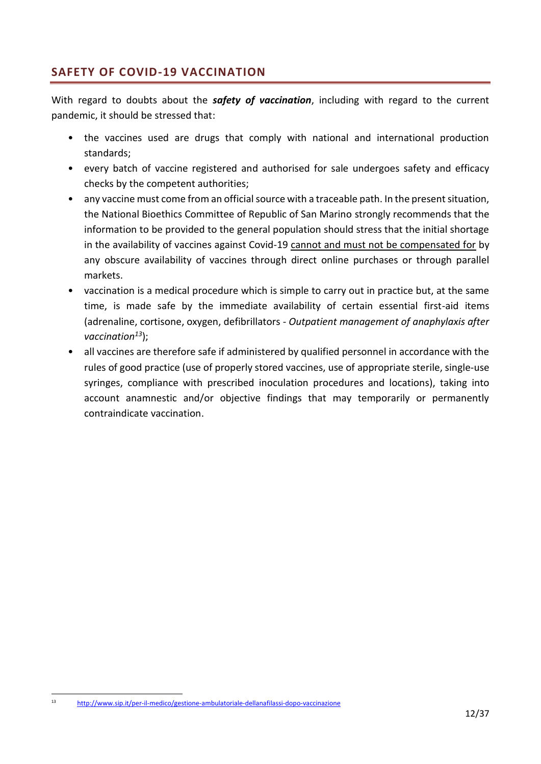# <span id="page-11-0"></span>**SAFETY OF COVID-19 VACCINATION**

With regard to doubts about the *safety of vaccination*, including with regard to the current pandemic, it should be stressed that:

- the vaccines used are drugs that comply with national and international production standards;
- every batch of vaccine registered and authorised for sale undergoes safety and efficacy checks by the competent authorities;
- any vaccine must come from an official source with a traceable path. In the present situation, the National Bioethics Committee of Republic of San Marino strongly recommends that the information to be provided to the general population should stress that the initial shortage in the availability of vaccines against Covid-19 cannot and must not be compensated for by any obscure availability of vaccines through direct online purchases or through parallel markets.
- vaccination is a medical procedure which is simple to carry out in practice but, at the same time, is made safe by the immediate availability of certain essential first-aid items (adrenaline, cortisone, oxygen, defibrillators - *Outpatient management of anaphylaxis after vaccination<sup>13</sup>*);
- all vaccines are therefore safe if administered by qualified personnel in accordance with the rules of good practice (use of properly stored vaccines, use of appropriate sterile, single-use syringes, compliance with prescribed inoculation procedures and locations), taking into account anamnestic and/or objective findings that may temporarily or permanently contraindicate vaccination.

<sup>13</sup> <http://www.sip.it/per-il-medico/gestione-ambulatoriale-dellanafilassi-dopo-vaccinazione>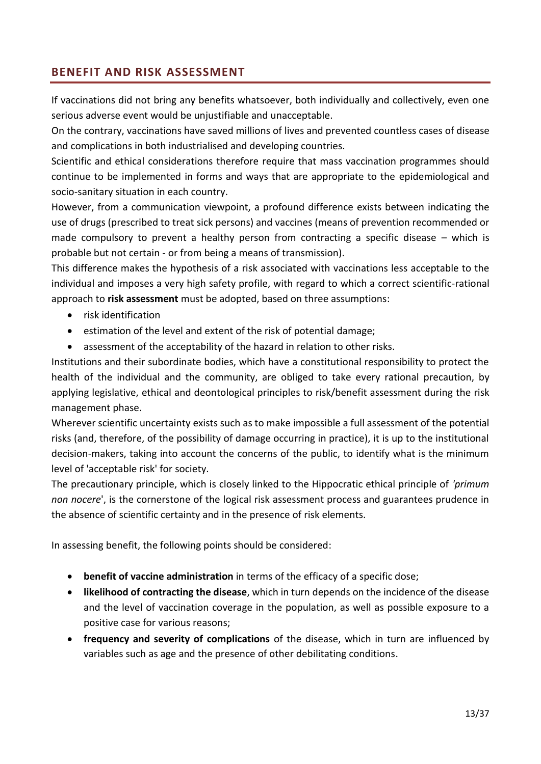## <span id="page-12-0"></span>**BENEFIT AND RISK ASSESSMENT**

If vaccinations did not bring any benefits whatsoever, both individually and collectively, even one serious adverse event would be unjustifiable and unacceptable.

On the contrary, vaccinations have saved millions of lives and prevented countless cases of disease and complications in both industrialised and developing countries.

Scientific and ethical considerations therefore require that mass vaccination programmes should continue to be implemented in forms and ways that are appropriate to the epidemiological and socio-sanitary situation in each country.

However, from a communication viewpoint, a profound difference exists between indicating the use of drugs (prescribed to treat sick persons) and vaccines (means of prevention recommended or made compulsory to prevent a healthy person from contracting a specific disease – which is probable but not certain - or from being a means of transmission).

This difference makes the hypothesis of a risk associated with vaccinations less acceptable to the individual and imposes a very high safety profile, with regard to which a correct scientific-rational approach to **risk assessment** must be adopted, based on three assumptions:

- risk identification
- estimation of the level and extent of the risk of potential damage;
- assessment of the acceptability of the hazard in relation to other risks.

Institutions and their subordinate bodies, which have a constitutional responsibility to protect the health of the individual and the community, are obliged to take every rational precaution, by applying legislative, ethical and deontological principles to risk/benefit assessment during the risk management phase.

Wherever scientific uncertainty exists such as to make impossible a full assessment of the potential risks (and, therefore, of the possibility of damage occurring in practice), it is up to the institutional decision-makers, taking into account the concerns of the public, to identify what is the minimum level of 'acceptable risk' for society.

The precautionary principle, which is closely linked to the Hippocratic ethical principle of *'primum non nocere*', is the cornerstone of the logical risk assessment process and guarantees prudence in the absence of scientific certainty and in the presence of risk elements.

In assessing benefit, the following points should be considered:

- **benefit of vaccine administration** in terms of the efficacy of a specific dose;
- **likelihood of contracting the disease**, which in turn depends on the incidence of the disease and the level of vaccination coverage in the population, as well as possible exposure to a positive case for various reasons;
- **frequency and severity of complications** of the disease, which in turn are influenced by variables such as age and the presence of other debilitating conditions.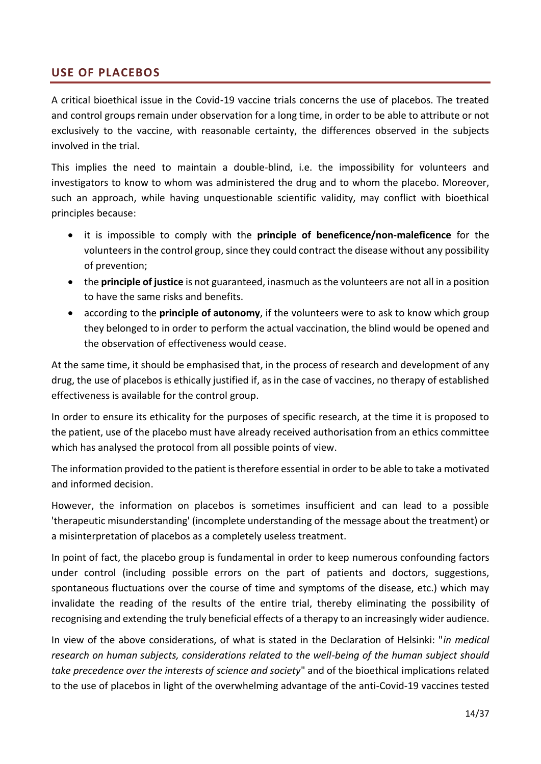## <span id="page-13-0"></span>**USE OF PLACEBOS**

A critical bioethical issue in the Covid-19 vaccine trials concerns the use of placebos. The treated and control groups remain under observation for a long time, in order to be able to attribute or not exclusively to the vaccine, with reasonable certainty, the differences observed in the subjects involved in the trial.

This implies the need to maintain a double-blind, i.e. the impossibility for volunteers and investigators to know to whom was administered the drug and to whom the placebo. Moreover, such an approach, while having unquestionable scientific validity, may conflict with bioethical principles because:

- it is impossible to comply with the **principle of beneficence/non-maleficence** for the volunteers in the control group, since they could contract the disease without any possibility of prevention;
- the **principle of justice** is not guaranteed, inasmuch as the volunteers are not all in a position to have the same risks and benefits.
- according to the **principle of autonomy**, if the volunteers were to ask to know which group they belonged to in order to perform the actual vaccination, the blind would be opened and the observation of effectiveness would cease.

At the same time, it should be emphasised that, in the process of research and development of any drug, the use of placebos is ethically justified if, as in the case of vaccines, no therapy of established effectiveness is available for the control group.

In order to ensure its ethicality for the purposes of specific research, at the time it is proposed to the patient, use of the placebo must have already received authorisation from an ethics committee which has analysed the protocol from all possible points of view.

The information provided to the patient is therefore essential in order to be able to take a motivated and informed decision.

However, the information on placebos is sometimes insufficient and can lead to a possible 'therapeutic misunderstanding' (incomplete understanding of the message about the treatment) or a misinterpretation of placebos as a completely useless treatment.

In point of fact, the placebo group is fundamental in order to keep numerous confounding factors under control (including possible errors on the part of patients and doctors, suggestions, spontaneous fluctuations over the course of time and symptoms of the disease, etc.) which may invalidate the reading of the results of the entire trial, thereby eliminating the possibility of recognising and extending the truly beneficial effects of a therapy to an increasingly wider audience.

In view of the above considerations, of what is stated in the Declaration of Helsinki: "*in medical research on human subjects, considerations related to the well-being of the human subject should take precedence over the interests of science and society*" and of the bioethical implications related to the use of placebos in light of the overwhelming advantage of the anti-Covid-19 vaccines tested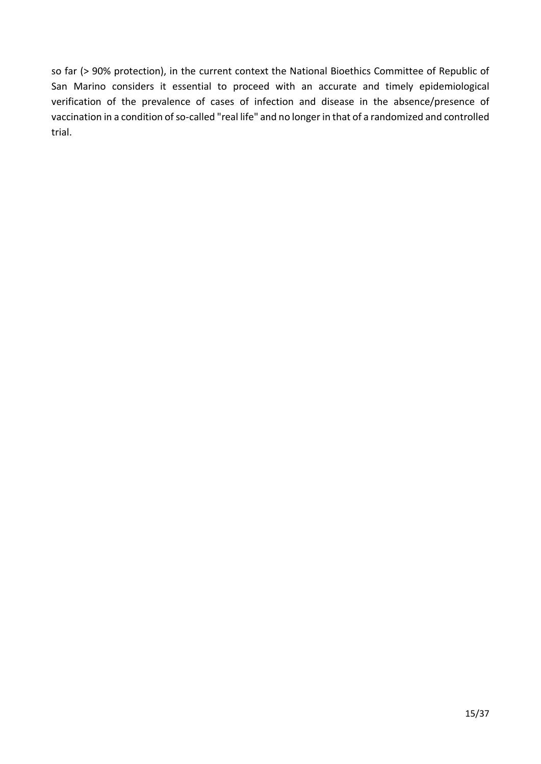so far (> 90% protection), in the current context the National Bioethics Committee of Republic of San Marino considers it essential to proceed with an accurate and timely epidemiological verification of the prevalence of cases of infection and disease in the absence/presence of vaccination in a condition of so-called "real life" and no longer in that of a randomized and controlled trial.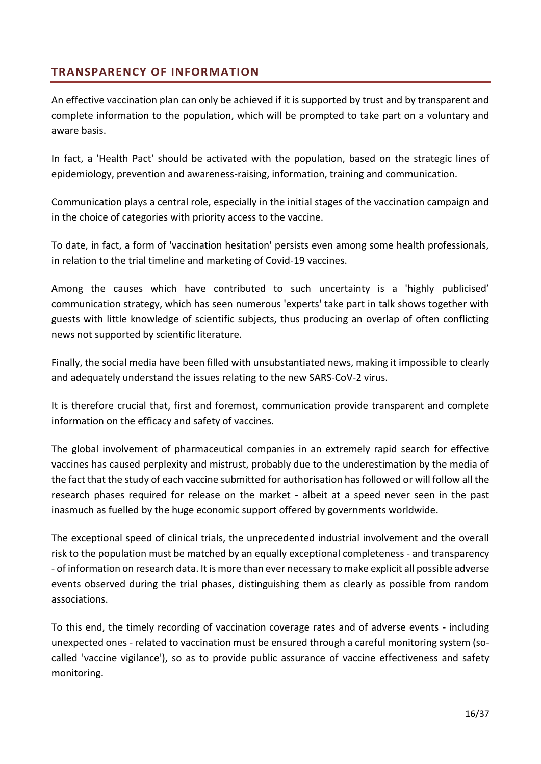## <span id="page-15-0"></span>**TRANSPARENCY OF INFORMATION**

An effective vaccination plan can only be achieved if it is supported by trust and by transparent and complete information to the population, which will be prompted to take part on a voluntary and aware basis.

In fact, a 'Health Pact' should be activated with the population, based on the strategic lines of epidemiology, prevention and awareness-raising, information, training and communication.

Communication plays a central role, especially in the initial stages of the vaccination campaign and in the choice of categories with priority access to the vaccine.

To date, in fact, a form of 'vaccination hesitation' persists even among some health professionals, in relation to the trial timeline and marketing of Covid-19 vaccines.

Among the causes which have contributed to such uncertainty is a 'highly publicised' communication strategy, which has seen numerous 'experts' take part in talk shows together with guests with little knowledge of scientific subjects, thus producing an overlap of often conflicting news not supported by scientific literature.

Finally, the social media have been filled with unsubstantiated news, making it impossible to clearly and adequately understand the issues relating to the new SARS-CoV-2 virus.

It is therefore crucial that, first and foremost, communication provide transparent and complete information on the efficacy and safety of vaccines.

The global involvement of pharmaceutical companies in an extremely rapid search for effective vaccines has caused perplexity and mistrust, probably due to the underestimation by the media of the fact that the study of each vaccine submitted for authorisation has followed or will follow all the research phases required for release on the market - albeit at a speed never seen in the past inasmuch as fuelled by the huge economic support offered by governments worldwide.

The exceptional speed of clinical trials, the unprecedented industrial involvement and the overall risk to the population must be matched by an equally exceptional completeness - and transparency - of information on research data. It is more than ever necessary to make explicit all possible adverse events observed during the trial phases, distinguishing them as clearly as possible from random associations.

To this end, the timely recording of vaccination coverage rates and of adverse events - including unexpected ones - related to vaccination must be ensured through a careful monitoring system (socalled 'vaccine vigilance'), so as to provide public assurance of vaccine effectiveness and safety monitoring.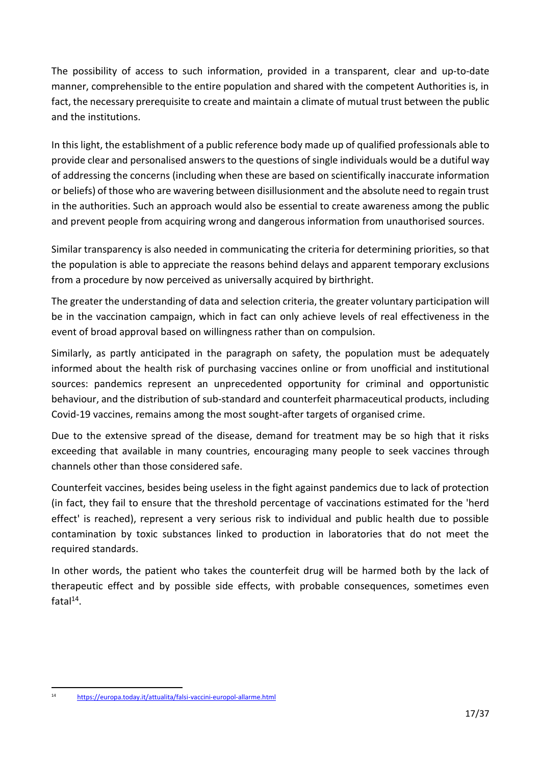The possibility of access to such information, provided in a transparent, clear and up-to-date manner, comprehensible to the entire population and shared with the competent Authorities is, in fact, the necessary prerequisite to create and maintain a climate of mutual trust between the public and the institutions.

In this light, the establishment of a public reference body made up of qualified professionals able to provide clear and personalised answers to the questions of single individuals would be a dutiful way of addressing the concerns (including when these are based on scientifically inaccurate information or beliefs) of those who are wavering between disillusionment and the absolute need to regain trust in the authorities. Such an approach would also be essential to create awareness among the public and prevent people from acquiring wrong and dangerous information from unauthorised sources.

Similar transparency is also needed in communicating the criteria for determining priorities, so that the population is able to appreciate the reasons behind delays and apparent temporary exclusions from a procedure by now perceived as universally acquired by birthright.

The greater the understanding of data and selection criteria, the greater voluntary participation will be in the vaccination campaign, which in fact can only achieve levels of real effectiveness in the event of broad approval based on willingness rather than on compulsion.

Similarly, as partly anticipated in the paragraph on safety, the population must be adequately informed about the health risk of purchasing vaccines online or from unofficial and institutional sources: pandemics represent an unprecedented opportunity for criminal and opportunistic behaviour, and the distribution of sub-standard and counterfeit pharmaceutical products, including Covid-19 vaccines, remains among the most sought-after targets of organised crime.

Due to the extensive spread of the disease, demand for treatment may be so high that it risks exceeding that available in many countries, encouraging many people to seek vaccines through channels other than those considered safe.

Counterfeit vaccines, besides being useless in the fight against pandemics due to lack of protection (in fact, they fail to ensure that the threshold percentage of vaccinations estimated for the 'herd effect' is reached), represent a very serious risk to individual and public health due to possible contamination by toxic substances linked to production in laboratories that do not meet the required standards.

In other words, the patient who takes the counterfeit drug will be harmed both by the lack of therapeutic effect and by possible side effects, with probable consequences, sometimes even  $fatal<sup>14</sup>$ .

<sup>14</sup> <https://europa.today.it/attualita/falsi-vaccini-europol-allarme.html>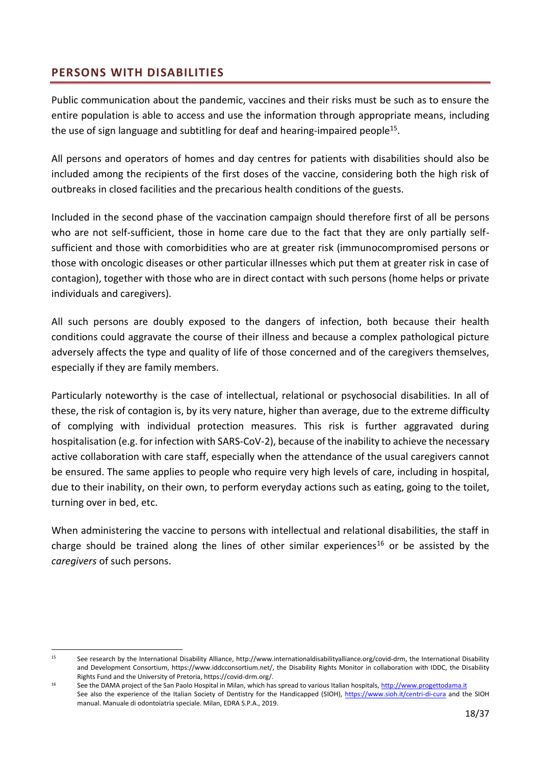## <span id="page-17-0"></span>**PERSONS WITH DISABILITIES**

Public communication about the pandemic, vaccines and their risks must be such as to ensure the entire population is able to access and use the information through appropriate means, including the use of sign language and subtitling for deaf and hearing-impaired people<sup>15</sup>.

All persons and operators of homes and day centres for patients with disabilities should also be included among the recipients of the first doses of the vaccine, considering both the high risk of outbreaks in closed facilities and the precarious health conditions of the guests.

Included in the second phase of the vaccination campaign should therefore first of all be persons who are not self-sufficient, those in home care due to the fact that they are only partially selfsufficient and those with comorbidities who are at greater risk (immunocompromised persons or those with oncologic diseases or other particular illnesses which put them at greater risk in case of contagion), together with those who are in direct contact with such persons (home helps or private individuals and caregivers).

All such persons are doubly exposed to the dangers of infection, both because their health conditions could aggravate the course of their illness and because a complex pathological picture adversely affects the type and quality of life of those concerned and of the caregivers themselves, especially if they are family members.

Particularly noteworthy is the case of intellectual, relational or psychosocial disabilities. In all of these, the risk of contagion is, by its very nature, higher than average, due to the extreme difficulty of complying with individual protection measures. This risk is further aggravated during hospitalisation (e.g. for infection with SARS-CoV-2), because of the inability to achieve the necessary active collaboration with care staff, especially when the attendance of the usual caregivers cannot be ensured. The same applies to people who require very high levels of care, including in hospital, due to their inability, on their own, to perform everyday actions such as eating, going to the toilet, turning over in bed, etc.

When administering the vaccine to persons with intellectual and relational disabilities, the staff in charge should be trained along the lines of other similar experiences<sup>16</sup> or be assisted by the *caregivers* of such persons.

<sup>&</sup>lt;sup>15</sup> See research by the International Disability Alliance, http://www.internationaldisabilityalliance.org/covid-drm, the International Disability and Development Consortium, https://www.iddcconsortium.net/, the Disability Rights Monitor in collaboration with IDDC, the Disability Rights Fund and the University of Pretoria, https://covid-drm.org/.

<sup>16</sup> See the DAMA project of the San Paolo Hospital in Milan, which has spread to various Italian hospitals[, http://www.progettodama.it](http://www.progettodama.it/) See also the experience of the Italian Society of Dentistry for the Handicapped (SIOH),<https://www.sioh.it/centri-di-cura> and the SIOH manual. Manuale di odontoiatria speciale. Milan, EDRA S.P.A., 2019.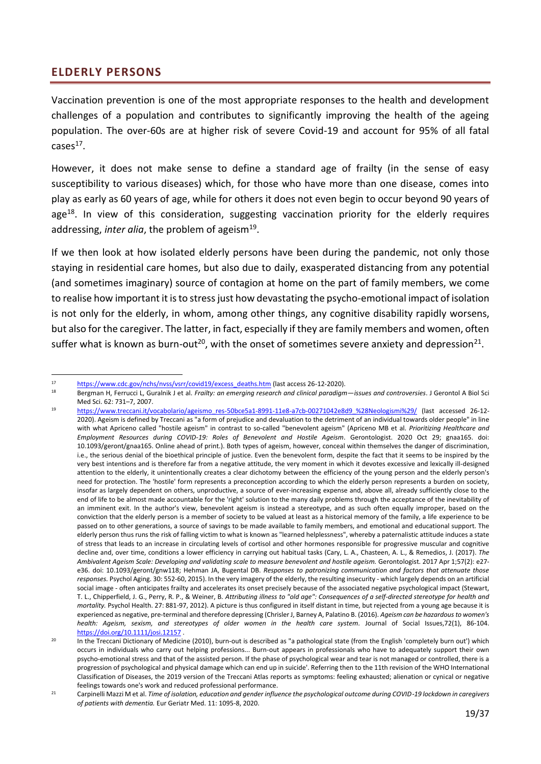### <span id="page-18-0"></span>**ELDERLY PERSONS**

Vaccination prevention is one of the most appropriate responses to the health and development challenges of a population and contributes to significantly improving the health of the ageing population. The over-60s are at higher risk of severe Covid-19 and account for 95% of all fatal  $cases<sup>17</sup>$ .

However, it does not make sense to define a standard age of frailty (in the sense of easy susceptibility to various diseases) which, for those who have more than one disease, comes into play as early as 60 years of age, while for others it does not even begin to occur beyond 90 years of age<sup>18</sup>. In view of this consideration, suggesting vaccination priority for the elderly requires addressing, *inter alia*, the problem of ageism<sup>19</sup>.

If we then look at how isolated elderly persons have been during the pandemic, not only those staying in residential care homes, but also due to daily, exasperated distancing from any potential (and sometimes imaginary) source of contagion at home on the part of family members, we come to realise how important it is to stress just how devastating the psycho-emotional impact of isolation is not only for the elderly, in whom, among other things, any cognitive disability rapidly worsens, but also for the caregiver. The latter, in fact, especially if they are family members and women, often suffer what is known as burn-out<sup>20</sup>, with the onset of sometimes severe anxiety and depression<sup>21</sup>.

<sup>17</sup> [https://www.cdc.gov/nchs/nvss/vsrr/covid19/excess\\_deaths.htm](https://www.cdc.gov/nchs/nvss/vsrr/covid19/excess_deaths.htm) (last access 26-12-2020).<br>18 Bergman H. Ferrucci L. Guralnik Let al. *Frailty: an emerging research and clinical naradian* 

<sup>18</sup> Bergman H, Ferrucci L, Guralnik J et al. *Frailty: an emerging research and clinical paradigm—issues and controversies*. J Gerontol A Biol Sci Med Sci. 62: 731–7, 2007.

<sup>19</sup> [https://www.treccani.it/vocabolario/ageismo\\_res-50bce5a1-8991-11e8-a7cb-00271042e8d9\\_%28Neologismi%29/](https://www.treccani.it/vocabolario/ageismo_res-50bce5a1-8991-11e8-a7cb-00271042e8d9_%28Neologismi%29/) (last accessed 26-12- 2020). Ageism is defined by Treccani as "a form of prejudice and devaluation to the detriment of an individual towards older people" in line with what Apriceno called "hostile ageism" in contrast to so-called "benevolent ageism" (Apriceno MB et al. *Prioritizing Healthcare and Employment Resources during COVID-19: Roles of Benevolent and Hostile Ageism*. Gerontologist. 2020 Oct 29; gnaa165. doi: 10.1093/geront/gnaa165. Online ahead of print.). Both types of ageism, however, conceal within themselves the danger of discrimination, i.e., the serious denial of the bioethical principle of justice. Even the benevolent form, despite the fact that it seems to be inspired by the very best intentions and is therefore far from a negative attitude, the very moment in which it devotes excessive and lexically ill-designed attention to the elderly, it unintentionally creates a clear dichotomy between the efficiency of the young person and the elderly person's need for protection. The 'hostile' form represents a preconception according to which the elderly person represents a burden on society, insofar as largely dependent on others, unproductive, a source of ever-increasing expense and, above all, already sufficiently close to the end of life to be almost made accountable for the 'right' solution to the many daily problems through the acceptance of the inevitability of an imminent exit. In the author's view, benevolent ageism is instead a stereotype, and as such often equally improper, based on the conviction that the elderly person is a member of society to be valued at least as a historical memory of the family, a life experience to be passed on to other generations, a source of savings to be made available to family members, and emotional and educational support. The elderly person thus runs the risk of falling victim to what is known as "learned helplessness", whereby a paternalistic attitude induces a state of stress that leads to an increase in circulating levels of cortisol and other hormones responsible for progressive muscular and cognitive decline and, over time, conditions a lower efficiency in carrying out habitual tasks (Cary, L. A., Chasteen, A. L., & Remedios, J. (2017). *The Ambivalent Ageism Scale: Developing and validating scale to measure benevolent and hostile ageism.* Gerontologist. 2017 Apr 1;57(2): e27 e36. doi: 10.1093/geront/gnw118; Hehman JA, Bugental DB. *Responses to patronizing communication and factors that attenuate those responses.* Psychol Aging. 30: 552-60, 2015). In the very imagery of the elderly, the resulting insecurity - which largely depends on an artificial social image - often anticipates frailty and accelerates its onset precisely because of the associated negative psychological impact (Stewart, T. L., Chipperfield, J. G., Perry, R. P., & Weiner, B. *Attributing illness to "old age": Consequences of a self-directed stereotype for health and mortality.* Psychol Health. 27: 881-97, 2012). A picture is thus configured in itself distant in time, but rejected from a young age because it is experienced as negative, pre-terminal and therefore depressing (Chrisler J, Barney A, Palatino B. (2016). *Ageism can be hazardous to women's health: Ageism, sexism, and stereotypes of older women in the health care system.* Journal of Social Issues,72(1), 86-104. <https://doi.org/10.1111/josi.12157> .

<sup>&</sup>lt;sup>20</sup> In the Treccani Dictionary of Medicine (2010), burn-out is described as "a pathological state (from the English 'completely burn out') which occurs in individuals who carry out helping professions... Burn-out appears in professionals who have to adequately support their own psycho-emotional stress and that of the assisted person. If the phase of psychological wear and tear is not managed or controlled, there is a progression of psychological and physical damage which can end up in suicide'. Referring then to the 11th revision of the WHO International Classification of Diseases, the 2019 version of the Treccani Atlas reports as symptoms: feeling exhausted; alienation or cynical or negative feelings towards one's work and reduced professional performance.

<sup>&</sup>lt;sup>21</sup> Carpinelli Mazzi M et al. *Time of isolation, education and gender influence the psychological outcome during COVID-19 lockdown in caregivers of patients with dementia.* Eur Geriatr Med. 11: 1095-8, 2020.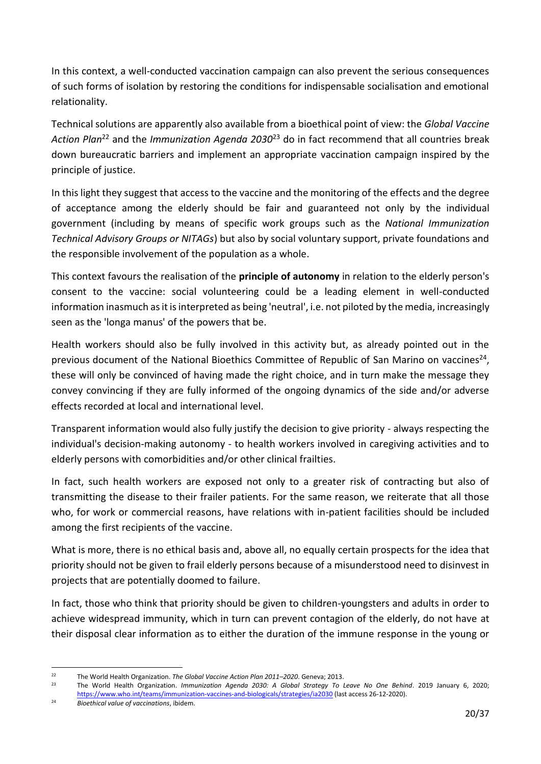In this context, a well-conducted vaccination campaign can also prevent the serious consequences of such forms of isolation by restoring the conditions for indispensable socialisation and emotional relationality.

Technical solutions are apparently also available from a bioethical point of view: the *Global Vaccine Action Plan*<sup>22</sup> and the *Immunization Agenda 2030*<sup>23</sup> do in fact recommend that all countries break down bureaucratic barriers and implement an appropriate vaccination campaign inspired by the principle of justice.

In this light they suggest that access to the vaccine and the monitoring of the effects and the degree of acceptance among the elderly should be fair and guaranteed not only by the individual government (including by means of specific work groups such as the *National Immunization Technical Advisory Groups or NITAGs*) but also by social voluntary support, private foundations and the responsible involvement of the population as a whole.

This context favours the realisation of the **principle of autonomy** in relation to the elderly person's consent to the vaccine: social volunteering could be a leading element in well-conducted information inasmuch as it is interpreted as being 'neutral', i.e. not piloted by the media, increasingly seen as the 'longa manus' of the powers that be.

Health workers should also be fully involved in this activity but, as already pointed out in the previous document of the National Bioethics Committee of Republic of San Marino on vaccines<sup>24</sup>, these will only be convinced of having made the right choice, and in turn make the message they convey convincing if they are fully informed of the ongoing dynamics of the side and/or adverse effects recorded at local and international level.

Transparent information would also fully justify the decision to give priority - always respecting the individual's decision-making autonomy - to health workers involved in caregiving activities and to elderly persons with comorbidities and/or other clinical frailties.

In fact, such health workers are exposed not only to a greater risk of contracting but also of transmitting the disease to their frailer patients. For the same reason, we reiterate that all those who, for work or commercial reasons, have relations with in-patient facilities should be included among the first recipients of the vaccine.

What is more, there is no ethical basis and, above all, no equally certain prospects for the idea that priority should not be given to frail elderly persons because of a misunderstood need to disinvest in projects that are potentially doomed to failure.

In fact, those who think that priority should be given to children-youngsters and adults in order to achieve widespread immunity, which in turn can prevent contagion of the elderly, do not have at their disposal clear information as to either the duration of the immune response in the young or

<sup>22</sup> The World Health Organization. *The Global Vaccine Action Plan 2011–2020*. Geneva; 2013.

<sup>23</sup> The World Health Organization. *Immunization Agenda 2030: A Global Strategy To Leave No One Behind*. 2019 January 6, 2020; <https://www.who.int/teams/immunization-vaccines-and-biologicals/strategies/ia2030> (last access 26-12-2020).

<sup>24</sup> *Bioethical value of vaccinations*, ibidem.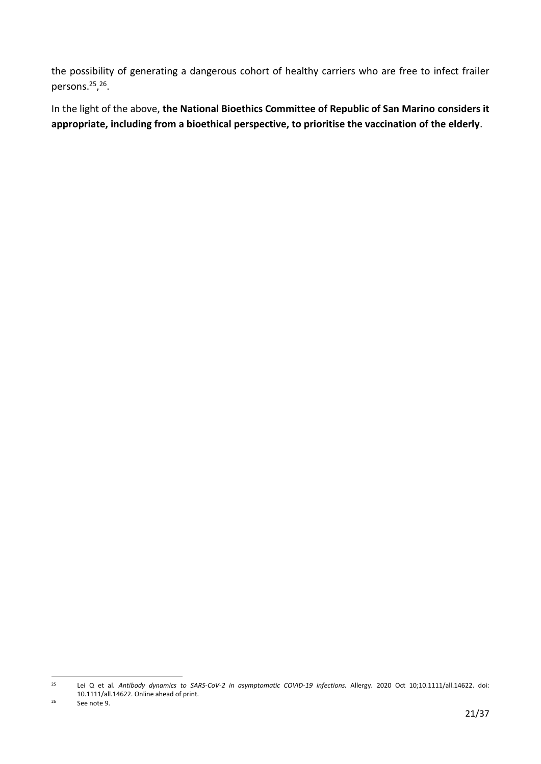the possibility of generating a dangerous cohort of healthy carriers who are free to infect frailer persons.<sup>25</sup>,<sup>26</sup>.

In the light of the above, **the National Bioethics Committee of Republic of San Marino considers it appropriate, including from a bioethical perspective, to prioritise the vaccination of the elderly**.

<sup>25</sup> Lei Q et al. *Antibody dynamics to SARS-CoV-2 in asymptomatic COVID-19 infections.* Allergy. 2020 Oct 10;10.1111/all.14622. doi: 10.1111/all.14622. Online ahead of print.

<sup>26</sup> See note 9.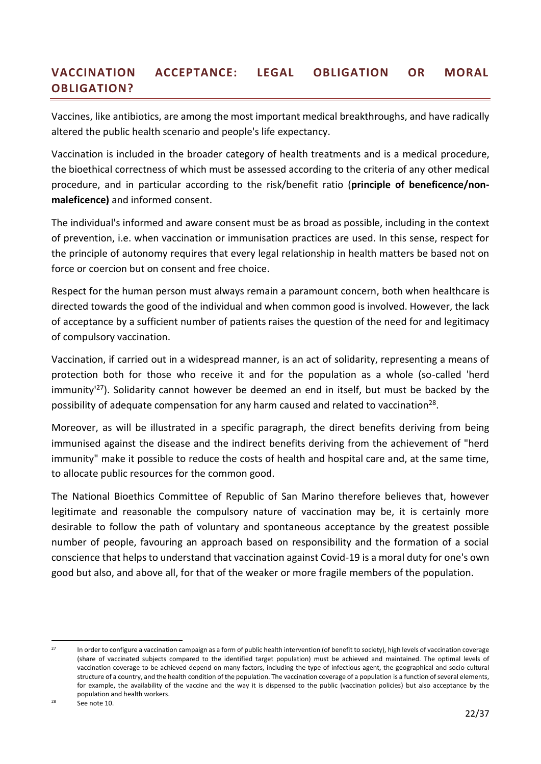# <span id="page-21-0"></span>**VACCINATION ACCEPTANCE: LEGAL OBLIGATION OR MORAL OBLIGATION?**

Vaccines, like antibiotics, are among the most important medical breakthroughs, and have radically altered the public health scenario and people's life expectancy.

Vaccination is included in the broader category of health treatments and is a medical procedure, the bioethical correctness of which must be assessed according to the criteria of any other medical procedure, and in particular according to the risk/benefit ratio (**principle of beneficence/nonmaleficence)** and informed consent.

The individual's informed and aware consent must be as broad as possible, including in the context of prevention, i.e. when vaccination or immunisation practices are used. In this sense, respect for the principle of autonomy requires that every legal relationship in health matters be based not on force or coercion but on consent and free choice.

Respect for the human person must always remain a paramount concern, both when healthcare is directed towards the good of the individual and when common good is involved. However, the lack of acceptance by a sufficient number of patients raises the question of the need for and legitimacy of compulsory vaccination.

Vaccination, if carried out in a widespread manner, is an act of solidarity, representing a means of protection both for those who receive it and for the population as a whole (so-called 'herd immunity<sup>127</sup>). Solidarity cannot however be deemed an end in itself, but must be backed by the possibility of adequate compensation for any harm caused and related to vaccination<sup>28</sup>.

Moreover, as will be illustrated in a specific paragraph, the direct benefits deriving from being immunised against the disease and the indirect benefits deriving from the achievement of "herd immunity" make it possible to reduce the costs of health and hospital care and, at the same time, to allocate public resources for the common good.

The National Bioethics Committee of Republic of San Marino therefore believes that, however legitimate and reasonable the compulsory nature of vaccination may be, it is certainly more desirable to follow the path of voluntary and spontaneous acceptance by the greatest possible number of people, favouring an approach based on responsibility and the formation of a social conscience that helps to understand that vaccination against Covid-19 is a moral duty for one's own good but also, and above all, for that of the weaker or more fragile members of the population.

<sup>28</sup> See note 10.

<sup>&</sup>lt;sup>27</sup> In order to configure a vaccination campaign as a form of public health intervention (of benefit to society), high levels of vaccination coverage (share of vaccinated subjects compared to the identified target population) must be achieved and maintained. The optimal levels of vaccination coverage to be achieved depend on many factors, including the type of infectious agent, the geographical and socio-cultural structure of a country, and the health condition of the population. The vaccination coverage of a population is a function of several elements, for example, the availability of the vaccine and the way it is dispensed to the public (vaccination policies) but also acceptance by the population and health workers.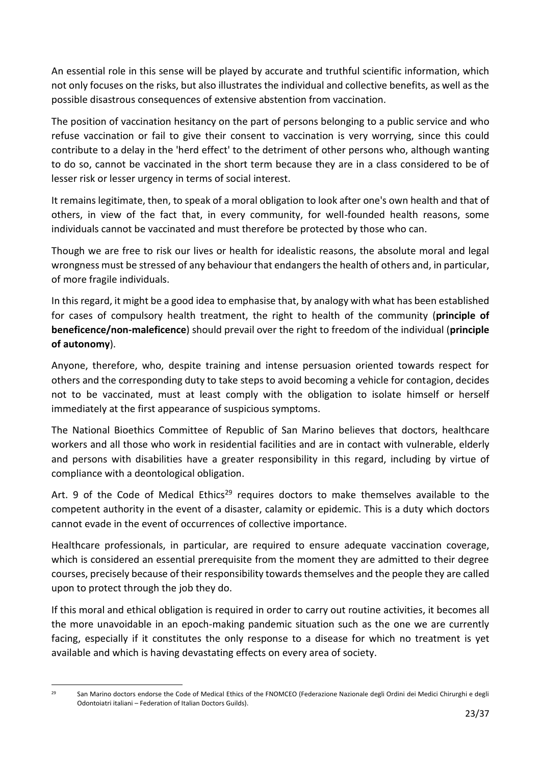An essential role in this sense will be played by accurate and truthful scientific information, which not only focuses on the risks, but also illustrates the individual and collective benefits, as well as the possible disastrous consequences of extensive abstention from vaccination.

The position of vaccination hesitancy on the part of persons belonging to a public service and who refuse vaccination or fail to give their consent to vaccination is very worrying, since this could contribute to a delay in the 'herd effect' to the detriment of other persons who, although wanting to do so, cannot be vaccinated in the short term because they are in a class considered to be of lesser risk or lesser urgency in terms of social interest.

It remains legitimate, then, to speak of a moral obligation to look after one's own health and that of others, in view of the fact that, in every community, for well-founded health reasons, some individuals cannot be vaccinated and must therefore be protected by those who can.

Though we are free to risk our lives or health for idealistic reasons, the absolute moral and legal wrongness must be stressed of any behaviour that endangers the health of others and, in particular, of more fragile individuals.

In this regard, it might be a good idea to emphasise that, by analogy with what has been established for cases of compulsory health treatment, the right to health of the community (**principle of beneficence/non-maleficence**) should prevail over the right to freedom of the individual (**principle of autonomy**).

Anyone, therefore, who, despite training and intense persuasion oriented towards respect for others and the corresponding duty to take steps to avoid becoming a vehicle for contagion, decides not to be vaccinated, must at least comply with the obligation to isolate himself or herself immediately at the first appearance of suspicious symptoms.

The National Bioethics Committee of Republic of San Marino believes that doctors, healthcare workers and all those who work in residential facilities and are in contact with vulnerable, elderly and persons with disabilities have a greater responsibility in this regard, including by virtue of compliance with a deontological obligation.

Art. 9 of the Code of Medical Ethics<sup>29</sup> requires doctors to make themselves available to the competent authority in the event of a disaster, calamity or epidemic. This is a duty which doctors cannot evade in the event of occurrences of collective importance.

Healthcare professionals, in particular, are required to ensure adequate vaccination coverage, which is considered an essential prerequisite from the moment they are admitted to their degree courses, precisely because of their responsibility towards themselves and the people they are called upon to protect through the job they do.

If this moral and ethical obligation is required in order to carry out routine activities, it becomes all the more unavoidable in an epoch-making pandemic situation such as the one we are currently facing, especially if it constitutes the only response to a disease for which no treatment is yet available and which is having devastating effects on every area of society.

<sup>&</sup>lt;sup>29</sup> San Marino doctors endorse the Code of Medical Ethics of the FNOMCEO (Federazione Nazionale degli Ordini dei Medici Chirurghi e degli Odontoiatri italiani – Federation of Italian Doctors Guilds).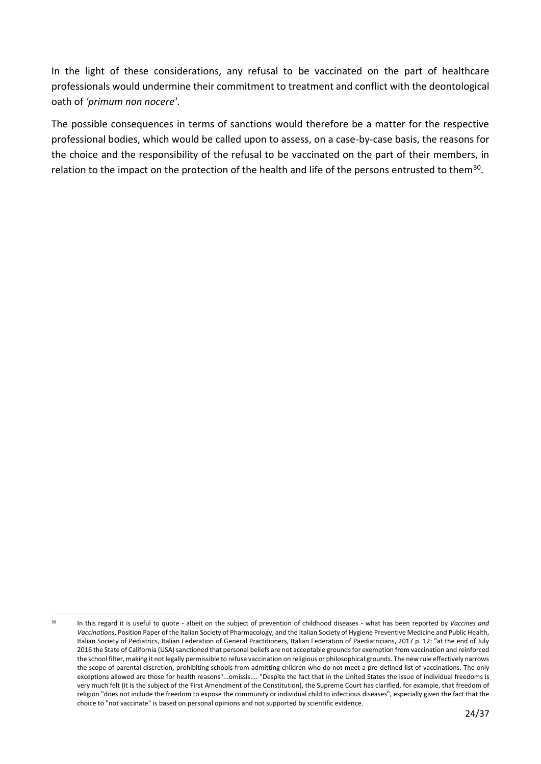In the light of these considerations, any refusal to be vaccinated on the part of healthcare professionals would undermine their commitment to treatment and conflict with the deontological oath of *'primum non nocere'*.

The possible consequences in terms of sanctions would therefore be a matter for the respective professional bodies, which would be called upon to assess, on a case-by-case basis, the reasons for the choice and the responsibility of the refusal to be vaccinated on the part of their members, in relation to the impact on the protection of the health and life of the persons entrusted to them<sup>30</sup>.

<sup>30</sup> In this regard it is useful to quote - albeit on the subject of prevention of childhood diseases - what has been reported by *Vaccines and Vaccinations*, Position Paper of the Italian Society of Pharmacology, and the Italian Society of Hygiene Preventive Medicine and Public Health, Italian Society of Pediatrics, Italian Federation of General Practitioners, Italian Federation of Paediatricians, 2017 p. 12: "at the end of July 2016 the State of California (USA) sanctioned that personal beliefs are not acceptable grounds for exemption from vaccination and reinforced the school filter, making it not legally permissible to refuse vaccination on religious or philosophical grounds. The new rule effectively narrows the scope of parental discretion, prohibiting schools from admitting children who do not meet a pre-defined list of vaccinations. The only exceptions allowed are those for health reasons"...omissis.... "Despite the fact that in the United States the issue of individual freedoms is very much felt (it is the subject of the First Amendment of the Constitution), the Supreme Court has clarified, for example, that freedom of religion "does not include the freedom to expose the community or individual child to infectious diseases", especially given the fact that the choice to "not vaccinate" is based on personal opinions and not supported by scientific evidence.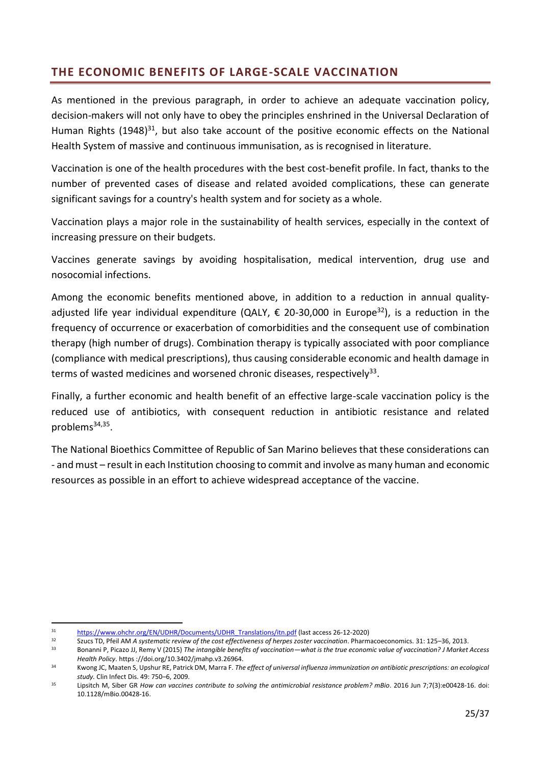# <span id="page-24-0"></span>**THE ECONOMIC BENEFITS OF LARGE-SCALE VACCINATION**

As mentioned in the previous paragraph, in order to achieve an adequate vaccination policy, decision-makers will not only have to obey the principles enshrined in the Universal Declaration of Human Rights (1948)<sup>31</sup>, but also take account of the positive economic effects on the National Health System of massive and continuous immunisation, as is recognised in literature.

Vaccination is one of the health procedures with the best cost-benefit profile. In fact, thanks to the number of prevented cases of disease and related avoided complications, these can generate significant savings for a country's health system and for society as a whole.

Vaccination plays a major role in the sustainability of health services, especially in the context of increasing pressure on their budgets.

Vaccines generate savings by avoiding hospitalisation, medical intervention, drug use and nosocomial infections.

Among the economic benefits mentioned above, in addition to a reduction in annual qualityadjusted life year individual expenditure (QALY,  $\epsilon$  20-30,000 in Europe<sup>32</sup>), is a reduction in the frequency of occurrence or exacerbation of comorbidities and the consequent use of combination therapy (high number of drugs). Combination therapy is typically associated with poor compliance (compliance with medical prescriptions), thus causing considerable economic and health damage in terms of wasted medicines and worsened chronic diseases, respectively<sup>33</sup>.

Finally, a further economic and health benefit of an effective large-scale vaccination policy is the reduced use of antibiotics, with consequent reduction in antibiotic resistance and related problems<sup>34,35</sup>.

The National Bioethics Committee of Republic of San Marino believes that these considerations can - and must – result in each Institution choosing to commit and involve as many human and economic resources as possible in an effort to achieve widespread acceptance of the vaccine.

<sup>31</sup> [https://www.ohchr.org/EN/UDHR/Documents/UDHR\\_Translations/itn.pdf](https://www.ohchr.org/EN/UDHR/Documents/UDHR_Translations/itn.pdf) (last access 26-12-2020)

<sup>32</sup> Szucs TD, Pfeil AM *A systematic review of the cost effectiveness of herpes zoster vaccination*. Pharmacoeconomics. 31: 125–36, 2013.

<sup>33</sup> Bonanni P, Picazo JJ, Remy V (2015) *The intangible benefits of vaccination—what is the true economic value of vaccination? J Market Access Health Policy*. https ://doi.org/10.3402/jmahp.v3.26964.

<sup>34</sup> Kwong JC, Maaten S, Upshur RE, Patrick DM, Marra F. *The effect of universal influenza immunization on antibiotic prescriptions: an ecological study.* Clin Infect Dis. 49: 750–6, 2009.

<sup>35</sup> Lipsitch M, Siber GR *How can vaccines contribute to solving the antimicrobial resistance problem? mBio*. 2016 Jun 7;7(3):e00428-16. doi: 10.1128/mBio.00428-16.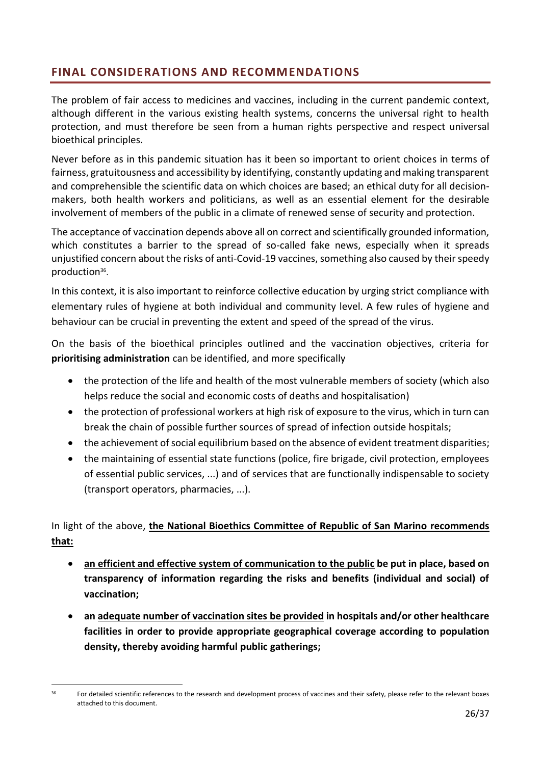# <span id="page-25-0"></span>**FINAL CONSIDERATIONS AND RECOMMENDATIONS**

The problem of fair access to medicines and vaccines, including in the current pandemic context, although different in the various existing health systems, concerns the universal right to health protection, and must therefore be seen from a human rights perspective and respect universal bioethical principles.

Never before as in this pandemic situation has it been so important to orient choices in terms of fairness, gratuitousness and accessibility by identifying, constantly updating and making transparent and comprehensible the scientific data on which choices are based; an ethical duty for all decisionmakers, both health workers and politicians, as well as an essential element for the desirable involvement of members of the public in a climate of renewed sense of security and protection.

The acceptance of vaccination depends above all on correct and scientifically grounded information, which constitutes a barrier to the spread of so-called fake news, especially when it spreads unjustified concern about the risks of anti-Covid-19 vaccines, something also caused by their speedy production<sup>36</sup>.

In this context, it is also important to reinforce collective education by urging strict compliance with elementary rules of hygiene at both individual and community level. A few rules of hygiene and behaviour can be crucial in preventing the extent and speed of the spread of the virus.

On the basis of the bioethical principles outlined and the vaccination objectives, criteria for **prioritising administration** can be identified, and more specifically

- the protection of the life and health of the most vulnerable members of society (which also helps reduce the social and economic costs of deaths and hospitalisation)
- the protection of professional workers at high risk of exposure to the virus, which in turn can break the chain of possible further sources of spread of infection outside hospitals;
- the achievement of social equilibrium based on the absence of evident treatment disparities;
- the maintaining of essential state functions (police, fire brigade, civil protection, employees of essential public services, ...) and of services that are functionally indispensable to society (transport operators, pharmacies, ...).

In light of the above, **the National Bioethics Committee of Republic of San Marino recommends that:**

- **an efficient and effective system of communication to the public be put in place, based on transparency of information regarding the risks and benefits (individual and social) of vaccination;**
- **an adequate number of vaccination sites be provided in hospitals and/or other healthcare facilities in order to provide appropriate geographical coverage according to population density, thereby avoiding harmful public gatherings;**

For detailed scientific references to the research and development process of vaccines and their safety, please refer to the relevant boxes attached to this document.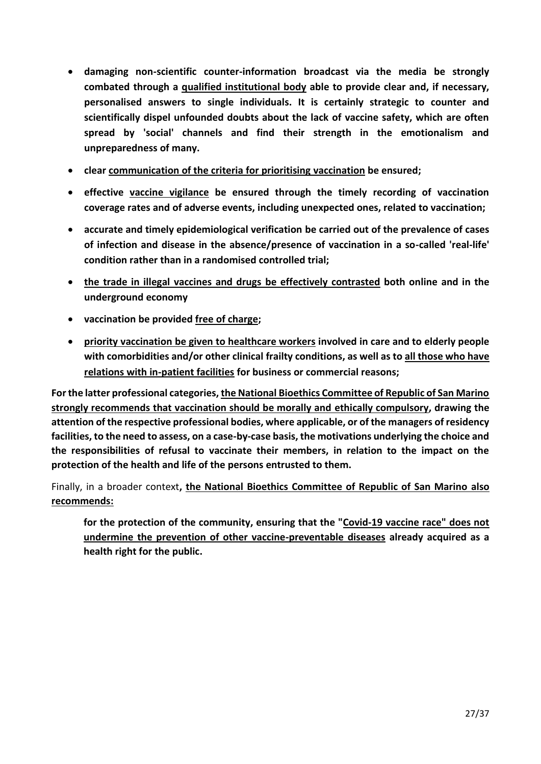- **damaging non-scientific counter-information broadcast via the media be strongly combated through a qualified institutional body able to provide clear and, if necessary, personalised answers to single individuals. It is certainly strategic to counter and scientifically dispel unfounded doubts about the lack of vaccine safety, which are often spread by 'social' channels and find their strength in the emotionalism and unpreparedness of many.**
- **clear communication of the criteria for prioritising vaccination be ensured;**
- **effective vaccine vigilance be ensured through the timely recording of vaccination coverage rates and of adverse events, including unexpected ones, related to vaccination;**
- **accurate and timely epidemiological verification be carried out of the prevalence of cases of infection and disease in the absence/presence of vaccination in a so-called 'real-life' condition rather than in a randomised controlled trial;**
- **the trade in illegal vaccines and drugs be effectively contrasted both online and in the underground economy**
- **vaccination be provided free of charge;**
- **priority vaccination be given to healthcare workers involved in care and to elderly people with comorbidities and/or other clinical frailty conditions, as well as to all those who have relations with in-patient facilities for business or commercial reasons;**

**For the latter professional categories, the National Bioethics Committee of Republic of San Marino strongly recommends that vaccination should be morally and ethically compulsory, drawing the attention of the respective professional bodies, where applicable, or of the managers of residency facilities, to the need to assess, on a case-by-case basis, the motivations underlying the choice and the responsibilities of refusal to vaccinate their members, in relation to the impact on the protection of the health and life of the persons entrusted to them.**

Finally, in a broader context**, the National Bioethics Committee of Republic of San Marino also recommends:**

**for the protection of the community, ensuring that the "Covid-19 vaccine race" does not undermine the prevention of other vaccine-preventable diseases already acquired as a health right for the public.**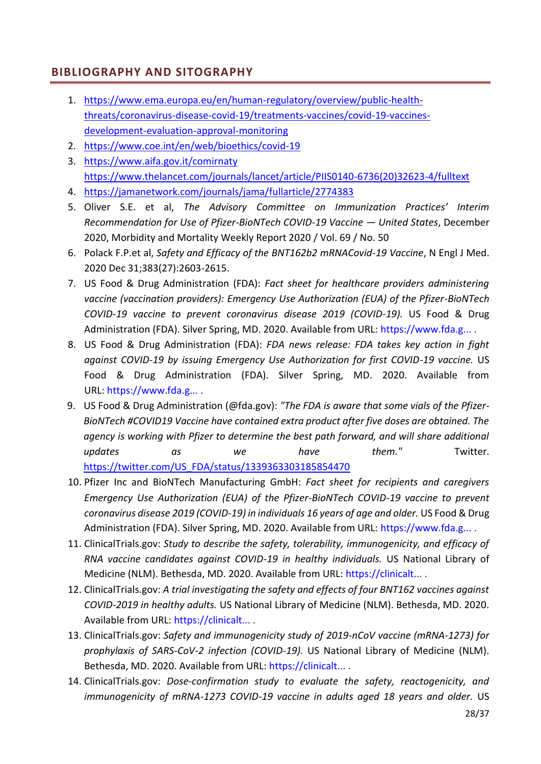# <span id="page-27-0"></span>**BIBLIOGRAPHY AND SITOGRAPHY**

- 1. [https://www.ema.europa.eu/en/human-regulatory/overview/public-health](https://www.ema.europa.eu/en/human-regulatory/overview/public-health-threats/coronavirus-disease-covid-19/treatments-vaccines/covid-19-vaccines-development-evaluation-approval-monitoring)[threats/coronavirus-disease-covid-19/treatments-vaccines/covid-19-vaccines](https://www.ema.europa.eu/en/human-regulatory/overview/public-health-threats/coronavirus-disease-covid-19/treatments-vaccines/covid-19-vaccines-development-evaluation-approval-monitoring)[development-evaluation-approval-monitoring](https://www.ema.europa.eu/en/human-regulatory/overview/public-health-threats/coronavirus-disease-covid-19/treatments-vaccines/covid-19-vaccines-development-evaluation-approval-monitoring)
- 2. <https://www.coe.int/en/web/bioethics/covid-19>
- 3. <https://www.aifa.gov.it/comirnaty> [https://www.thelancet.com/journals/lancet/article/PIIS0140-6736\(20\)32623-4/fulltext](https://www.thelancet.com/journals/lancet/article/PIIS0140-6736(20)32623-4/fulltext)
- 4. <https://jamanetwork.com/journals/jama/fullarticle/2774383>
- 5. Oliver S.E. et al, *The Advisory Committee on Immunization Practices' Interim Recommendation for Use of Pfizer-BioNTech COVID-19 Vaccine — United States*, December 2020, Morbidity and Mortality Weekly Report 2020 / Vol. 69 / No. 50
- 6. Polack F.P.et al, *Safety and Efficacy of the BNT162b2 mRNACovid-19 Vaccine*, N Engl J Med. 2020 Dec 31;383(27):2603-2615.
- 7. US Food & Drug Administration (FDA): *Fact sheet for healthcare providers administering vaccine (vaccination providers): Emergency Use Authorization (EUA) of the Pfizer-BioNTech COVID-19 vaccine to prevent coronavirus disease 2019 (COVID-19).* US Food & Drug Administration (FDA). Silver Spring, MD. 2020. Available from URL: [https://www.fda.g...](https://www.fda.gov/media/144413/download) .
- 8. US Food & Drug Administration (FDA): *FDA news release: FDA takes key action in fight against COVID-19 by issuing Emergency Use Authorization for first COVID-19 vaccine.* US Food & Drug Administration (FDA). Silver Spring, MD. 2020. Available from URL: [https://www.fda.g...](https://www.fda.gov/news-events/press-announcements/fda-takes-key-action-fight-against-covid-19-issuing-emergency-use-authorization-first-covid-19) .
- 9. US Food & Drug Administration (@fda.gov): *"The FDA is aware that some vials of the Pfizer-BioNTech #COVID19 Vaccine have contained extra product after five doses are obtained. The agency is working with Pfizer to determine the best path forward, and will share additional updates as we have them."* Twitter. [https://twitter.com/US\\_FDA/status/1339363303185854470](https://twitter.com/US_FDA/status/1339363303185854470)
- 10. Pfizer Inc and BioNTech Manufacturing GmbH: *Fact sheet for recipients and caregivers Emergency Use Authorization (EUA) of the Pfizer-BioNTech COVID-19 vaccine to prevent coronavirus disease 2019 (COVID-19) in individuals 16 years of age and older.* US Food & Drug Administration (FDA). Silver Spring, MD. 2020. Available from URL: [https://www.fda.g...](https://www.fda.gov/media/144414/download).
- 11. ClinicalTrials.gov: *Study to describe the safety, tolerability, immunogenicity, and efficacy of RNA vaccine candidates against COVID-19 in healthy individuals.* US National Library of Medicine (NLM). Bethesda, MD. 2020. Available from URL: [https://clinicalt...](https://clinicaltrials.gov/ct2/show/NCT04368728) .
- 12. ClinicalTrials.gov: *A trial investigating the safety and effects of four BNT162 vaccines against COVID-2019 in healthy adults.* US National Library of Medicine (NLM). Bethesda, MD. 2020. Available from URL: [https://clinicalt...](https://clinicaltrials.gov/ct2/show/NCT04380701) .
- 13. ClinicalTrials.gov: *Safety and immunogenicity study of 2019-nCoV vaccine (mRNA-1273) for prophylaxis of SARS-CoV-2 infection (COVID-19).* US National Library of Medicine (NLM). Bethesda, MD. 2020. Available from URL: [https://clinicalt...](https://clinicaltrials.gov/ct2/show/NCT04283461).
- 14. ClinicalTrials.gov: *Dose-confirmation study to evaluate the safety, reactogenicity, and immunogenicity of mRNA-1273 COVID-19 vaccine in adults aged 18 years and older.* US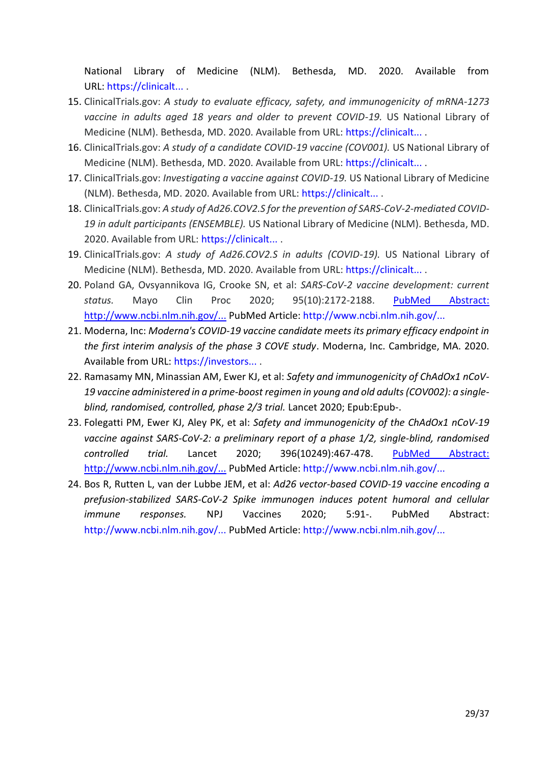National Library of Medicine (NLM). Bethesda, MD. 2020. Available from URL: [https://clinicalt...](https://clinicaltrials.gov/ct2/show/NCT04405076) .

- 15. ClinicalTrials.gov: *A study to evaluate efficacy, safety, and immunogenicity of mRNA-1273 vaccine in adults aged 18 years and older to prevent COVID-19.* US National Library of Medicine (NLM). Bethesda, MD. 2020. Available from URL: [https://clinicalt...](https://clinicaltrials.gov/ct2/show/NCT04470427) .
- 16. ClinicalTrials.gov: *A study of a candidate COVID-19 vaccine (COV001).* US National Library of Medicine (NLM). Bethesda, MD. 2020. Available from URL: [https://clinicalt...](https://clinicaltrials.gov/ct2/show/NCT04324606) .
- 17. ClinicalTrials.gov: *Investigating a vaccine against COVID-19.* US National Library of Medicine (NLM). Bethesda, MD. 2020. Available from URL: [https://clinicalt...](https://clinicaltrials.gov/ct2/show/study/NCT04400838) .
- 18. ClinicalTrials.gov: *A study of Ad26.COV2.S for the prevention of SARS-CoV-2-mediated COVID-19 in adult participants (ENSEMBLE).* US National Library of Medicine (NLM). Bethesda, MD. 2020. Available from URL: [https://clinicalt...](https://clinicaltrials.gov/ct2/show/NCT04505722) .
- 19. ClinicalTrials.gov: *A study of Ad26.COV2.S in adults (COVID-19).* US National Library of Medicine (NLM). Bethesda, MD. 2020. Available from URL: [https://clinicalt...](https://clinicaltrials.gov/ct2/show/NCT04436276) .
- 20. Poland GA, Ovsyannikova IG, Crooke SN, et al: *SARS-CoV-2 vaccine development: current status.* Mayo Clin Proc 2020; 95(10):2172-2188. [PubMed Abstract:](file:///C:/Users/WIN-7/AppData/Local/Microsoft/Windows/Temporary%20Internet%20Files/Content.Outlook/BIV44UJM/PubMed%20Abstract:%20http:/www.ncbi.nlm.nih.gov/)  [http://www.ncbi.nlm.nih.gov/...](file:///C:/Users/WIN-7/AppData/Local/Microsoft/Windows/Temporary%20Internet%20Files/Content.Outlook/BIV44UJM/PubMed%20Abstract:%20http:/www.ncbi.nlm.nih.gov/) PubMed Article: [http://www.ncbi.nlm.nih.gov/...](http://www.ncbi.nlm.nih.gov/entrez/query.fcgi?cmd=Link&db=PubMed&dbFrom=PubMed&from_uid=33012348)
- 21. Moderna, Inc: *Moderna's COVID-19 vaccine candidate meets its primary efficacy endpoint in the first interim analysis of the phase 3 COVE study*. Moderna, Inc. Cambridge, MA. 2020. Available from URL: [https://investors...](https://investors.modernatx.com/news-releases/news-release-details/modernas-covid-19-vaccine-candidate-meets-its-primary-efficacy) .
- 22. Ramasamy MN, Minassian AM, Ewer KJ, et al: *Safety and immunogenicity of ChAdOx1 nCoV-19 vaccine administered in a prime-boost regimen in young and old adults (COV002): a singleblind, randomised, controlled, phase 2/3 trial.* Lancet 2020; Epub:Epub-.
- 23. Folegatti PM, Ewer KJ, Aley PK, et al: *Safety and immunogenicity of the ChAdOx1 nCoV-19 vaccine against SARS-CoV-2: a preliminary report of a phase 1/2, single-blind, randomised controlled trial.* Lancet 2020; 396(10249):467-478. [PubMed Abstract:](file:///C:/Users/WIN-7/AppData/Local/Microsoft/Windows/Temporary%20Internet%20Files/Content.Outlook/BIV44UJM/PubMed%20Abstract:%20http:/www.ncbi.nlm.nih.gov/)  [http://www.ncbi.nlm.nih.gov/...](file:///C:/Users/WIN-7/AppData/Local/Microsoft/Windows/Temporary%20Internet%20Files/Content.Outlook/BIV44UJM/PubMed%20Abstract:%20http:/www.ncbi.nlm.nih.gov/) [PubMed Article: http://www.ncbi.nlm.nih.gov/...](http://www.ncbi.nlm.nih.gov/entrez/query.fcgi?cmd=Link&db=PubMed&dbFrom=PubMed&from_uid=32702298)
- 24. Bos R, Rutten L, van der Lubbe JEM, et al: *Ad26 vector-based COVID-19 vaccine encoding a prefusion-stabilized SARS-CoV-2 Spike immunogen induces potent humoral and cellular immune responses.* NPJ Vaccines 2020; 5:91-. [PubMed Abstract:](http://www.ncbi.nlm.nih.gov/entrez/query.fcgi?cmd=Retrieve&db=PubMed&dopt=Abstract&list_uids=33083026) [http://www.ncbi.nlm.nih.gov/...](http://www.ncbi.nlm.nih.gov/entrez/query.fcgi?cmd=Retrieve&db=PubMed&dopt=Abstract&list_uids=33083026) [PubMed Article: http://www.ncbi.nlm.nih.gov/...](http://www.ncbi.nlm.nih.gov/entrez/query.fcgi?cmd=Link&db=PubMed&dbFrom=PubMed&from_uid=33083026)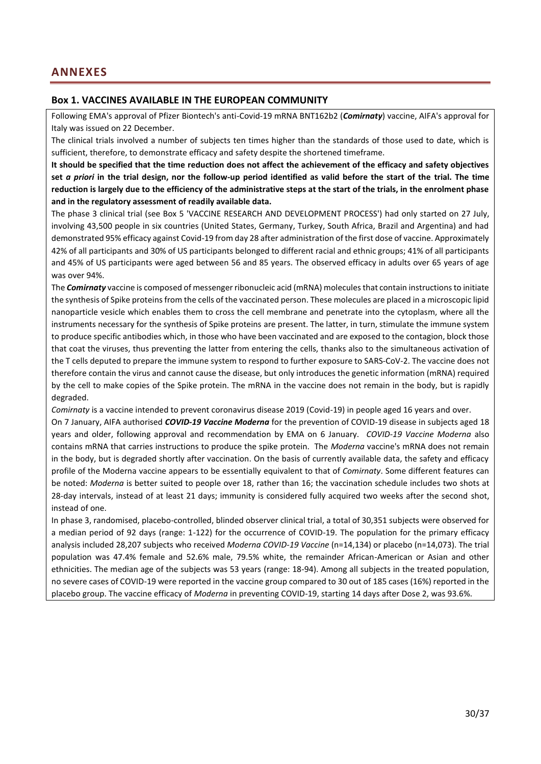#### <span id="page-29-1"></span><span id="page-29-0"></span>**Box 1. VACCINES AVAILABLE IN THE EUROPEAN COMMUNITY**

Following EMA's approval of Pfizer Biontech's anti-Covid-19 mRNA BNT162b2 (*Comirnaty*) vaccine, AIFA's approval for Italy was issued on 22 December.

The clinical trials involved a number of subjects ten times higher than the standards of those used to date, which is sufficient, therefore, to demonstrate efficacy and safety despite the shortened timeframe.

**It should be specified that the time reduction does not affect the achievement of the efficacy and safety objectives set** *a priori* **in the trial design, nor the follow-up period identified as valid before the start of the trial. The time reduction is largely due to the efficiency of the administrative steps at the start of the trials, in the enrolment phase and in the regulatory assessment of readily available data.** 

The phase 3 clinical trial (see Box 5 'VACCINE RESEARCH AND DEVELOPMENT PROCESS') had only started on 27 July, involving 43,500 people in six countries (United States, Germany, Turkey, South Africa, Brazil and Argentina) and had demonstrated 95% efficacy against Covid-19 from day 28 after administration of the first dose of vaccine. Approximately 42% of all participants and 30% of US participants belonged to different racial and ethnic groups; 41% of all participants and 45% of US participants were aged between 56 and 85 years. The observed efficacy in adults over 65 years of age was over 94%.

The *Comirnaty* vaccine is composed of messenger ribonucleic acid (mRNA) molecules that contain instructions to initiate the synthesis of Spike proteins from the cells of the vaccinated person. These molecules are placed in a microscopic lipid nanoparticle vesicle which enables them to cross the cell membrane and penetrate into the cytoplasm, where all the instruments necessary for the synthesis of Spike proteins are present. The latter, in turn, stimulate the immune system to produce specific antibodies which, in those who have been vaccinated and are exposed to the contagion, block those that coat the viruses, thus preventing the latter from entering the cells, thanks also to the simultaneous activation of the T cells deputed to prepare the immune system to respond to further exposure to SARS-CoV-2. The vaccine does not therefore contain the virus and cannot cause the disease, but only introduces the genetic information (mRNA) required by the cell to make copies of the Spike protein. The mRNA in the vaccine does not remain in the body, but is rapidly degraded.

*Comirnaty* is a vaccine intended to prevent coronavirus disease 2019 (Covid-19) in people aged 16 years and over.

On 7 January, AIFA authorised *COVID-19 Vaccine Moderna* for the prevention of COVID-19 disease in subjects aged 18 years and older, following approval and recommendation by EMA on 6 January. *COVID-19 Vaccine Moderna* also contains mRNA that carries instructions to produce the spike protein. The *Moderna* vaccine's mRNA does not remain in the body, but is degraded shortly after vaccination. On the basis of currently available data, the safety and efficacy profile of the Moderna vaccine appears to be essentially equivalent to that of *Comirnaty*. Some different features can be noted: *Moderna* is better suited to people over 18, rather than 16; the vaccination schedule includes two shots at 28-day intervals, instead of at least 21 days; immunity is considered fully acquired two weeks after the second shot, instead of one.

In phase 3, randomised, placebo-controlled, blinded observer clinical trial, a total of 30,351 subjects were observed for a median period of 92 days (range: 1-122) for the occurrence of COVID-19. The population for the primary efficacy analysis included 28,207 subjects who received *Moderna COVID-19 Vaccine* (n=14,134) or placebo (n=14,073). The trial population was 47.4% female and 52.6% male, 79.5% white, the remainder African-American or Asian and other ethnicities. The median age of the subjects was 53 years (range: 18-94). Among all subjects in the treated population, no severe cases of COVID-19 were reported in the vaccine group compared to 30 out of 185 cases (16%) reported in the placebo group. The vaccine efficacy of *Moderna* in preventing COVID-19, starting 14 days after Dose 2, was 93.6%.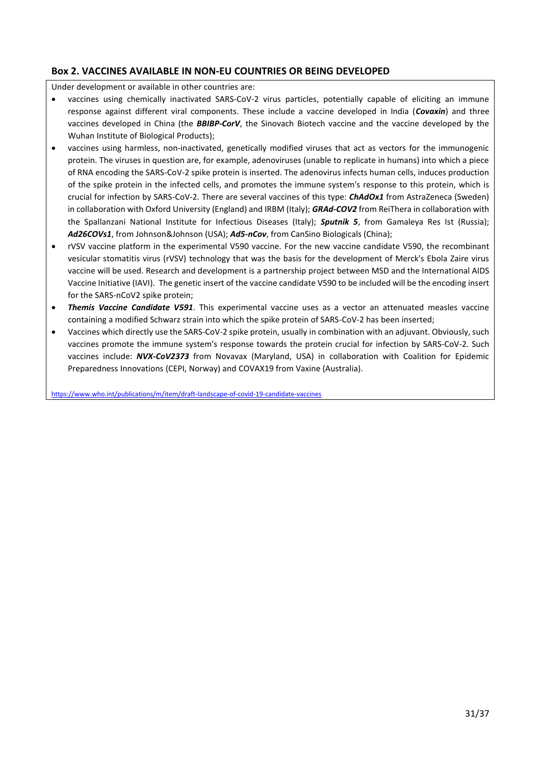### <span id="page-30-0"></span>**Box 2. VACCINES AVAILABLE IN NON-EU COUNTRIES OR BEING DEVELOPED**

Under development or available in other countries are:

- vaccines using chemically inactivated SARS-CoV-2 virus particles, potentially capable of eliciting an immune response against different viral components. These include a vaccine developed in India (*Covaxin*) and three vaccines developed in China (the *BBIBP-CorV*, the Sinovach Biotech vaccine and the vaccine developed by the Wuhan Institute of Biological Products);
- vaccines using harmless, non-inactivated, genetically modified viruses that act as vectors for the immunogenic protein. The viruses in question are, for example, adenoviruses (unable to replicate in humans) into which a piece of RNA encoding the SARS-CoV-2 spike protein is inserted. The adenovirus infects human cells, induces production of the spike protein in the infected cells, and promotes the immune system's response to this protein, which is crucial for infection by SARS-CoV-2. There are several vaccines of this type: *ChAdOx1* from AstraZeneca (Sweden) in collaboration with Oxford University (England) and IRBM (Italy); *GRAd-COV2* from ReiThera in collaboration with the Spallanzani National Institute for Infectious Diseases (Italy); *Sputnik 5*, from Gamaleya Res Ist (Russia); *Ad26COVs1*, from Johnson&Johnson (USA); *Ad5-nCov*, from CanSino Biologicals (China);
- rVSV vaccine platform in the experimental V590 vaccine. For the new vaccine candidate V590, the recombinant vesicular stomatitis virus (rVSV) technology that was the basis for the development of Merck's Ebola Zaire virus vaccine will be used. Research and development is a partnership project between MSD and the International AIDS Vaccine Initiative (IAVI). The genetic insert of the vaccine candidate V590 to be included will be the encoding insert for the SARS-nCoV2 spike protein;
- *Themis Vaccine Candidate V591*. This experimental vaccine uses as a vector an attenuated measles vaccine containing a modified Schwarz strain into which the spike protein of SARS-CoV-2 has been inserted;
- Vaccines which directly use the SARS-CoV-2 spike protein, usually in combination with an adjuvant. Obviously, such vaccines promote the immune system's response towards the protein crucial for infection by SARS-CoV-2. Such vaccines include: *NVX-CoV2373* from Novavax (Maryland, USA) in collaboration with Coalition for Epidemic Preparedness Innovations (CEPI, Norway) and COVAX19 from Vaxine (Australia).

<https://www.who.int/publications/m/item/draft-landscape-of-covid-19-candidate-vaccines>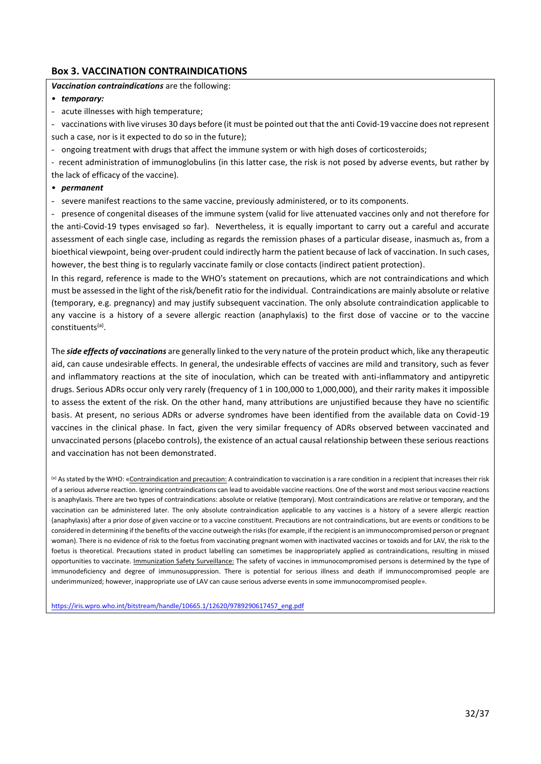#### <span id="page-31-0"></span>**Box 3. VACCINATION CONTRAINDICATIONS**

*Vaccination contraindications* are the following:

#### • *temporary:*

- acute illnesses with high temperature;

- vaccinations with live viruses 30 days before (it must be pointed out that the anti Covid-19 vaccine does not represent such a case, nor is it expected to do so in the future);

- ongoing treatment with drugs that affect the immune system or with high doses of corticosteroids;

- recent administration of immunoglobulins (in this latter case, the risk is not posed by adverse events, but rather by the lack of efficacy of the vaccine).

#### • *permanent*

- severe manifest reactions to the same vaccine, previously administered, or to its components.

- presence of congenital diseases of the immune system (valid for live attenuated vaccines only and not therefore for the anti-Covid-19 types envisaged so far). Nevertheless, it is equally important to carry out a careful and accurate assessment of each single case, including as regards the remission phases of a particular disease, inasmuch as, from a bioethical viewpoint, being over-prudent could indirectly harm the patient because of lack of vaccination. In such cases, however, the best thing is to regularly vaccinate family or close contacts (indirect patient protection).

In this regard, reference is made to the WHO's statement on precautions, which are not contraindications and which must be assessed in the light of the risk/benefit ratio for the individual. Contraindications are mainly absolute or relative (temporary, e.g. pregnancy) and may justify subsequent vaccination. The only absolute contraindication applicable to any vaccine is a history of a severe allergic reaction (anaphylaxis) to the first dose of vaccine or to the vaccine constituents<sup>(a)</sup>.

The *side effects of vaccinations* are generally linked to the very nature of the protein product which, like any therapeutic aid, can cause undesirable effects. In general, the undesirable effects of vaccines are mild and transitory, such as fever and inflammatory reactions at the site of inoculation, which can be treated with anti-inflammatory and antipyretic drugs. Serious ADRs occur only very rarely (frequency of 1 in 100,000 to 1,000,000), and their rarity makes it impossible to assess the extent of the risk. On the other hand, many attributions are unjustified because they have no scientific basis. At present, no serious ADRs or adverse syndromes have been identified from the available data on Covid-19 vaccines in the clinical phase. In fact, given the very similar frequency of ADRs observed between vaccinated and unvaccinated persons (placebo controls), the existence of an actual causal relationship between these serious reactions and vaccination has not been demonstrated.

(a) As stated by the WHO: «Contraindication and precaution: A contraindication to vaccination is a rare condition in a recipient that increases their risk of a serious adverse reaction. Ignoring contraindications can lead to avoidable vaccine reactions. One of the worst and most serious vaccine reactions is anaphylaxis. There are two types of contraindications: absolute or relative (temporary). Most contraindications are relative or temporary, and the vaccination can be administered later. The only absolute contraindication applicable to any vaccines is a history of a severe allergic reaction (anaphylaxis) after a prior dose of given vaccine or to a vaccine constituent. Precautions are not contraindications, but are events or conditions to be considered in determining if the benefits of the vaccine outweigh the risks (for example, if the recipient is an immunocompromised person or pregnant woman). There is no evidence of risk to the foetus from vaccinating pregnant women with inactivated vaccines or toxoids and for LAV, the risk to the foetus is theoretical. Precautions stated in product labelling can sometimes be inappropriately applied as contraindications, resulting in missed opportunities to vaccinate. Immunization Safety Surveillance: The safety of vaccines in immunocompromised persons is determined by the type of immunodeficiency and degree of immunosuppression. There is potential for serious illness and death if immunocompromised people are underimmunized; however, inappropriate use of LAV can cause serious adverse events in some immunocompromised people».

[https://iris.wpro.who.int/bitstream/handle/10665.1/12620/9789290617457\\_eng.pdf](https://iris.wpro.who.int/bitstream/handle/10665.1/12620/9789290617457_eng.pdf)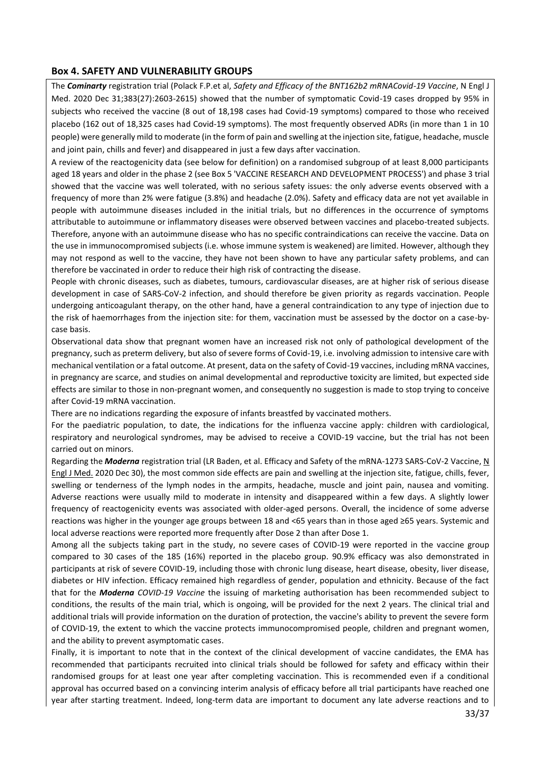#### <span id="page-32-0"></span>**Box 4. SAFETY AND VULNERABILITY GROUPS**

The *Cominarty* registration trial (Polack F.P.et al, *Safety and Efficacy of the BNT162b2 mRNACovid-19 Vaccine*, N Engl J Med. 2020 Dec 31;383(27):2603-2615) showed that the number of symptomatic Covid-19 cases dropped by 95% in subjects who received the vaccine (8 out of 18,198 cases had Covid-19 symptoms) compared to those who received placebo (162 out of 18,325 cases had Covid-19 symptoms). The most frequently observed ADRs (in more than 1 in 10 people) were generally mild to moderate (in the form of pain and swelling at the injection site, fatigue, headache, muscle and joint pain, chills and fever) and disappeared in just a few days after vaccination.

A review of the reactogenicity data (see below for definition) on a randomised subgroup of at least 8,000 participants aged 18 years and older in the phase 2 (see Box 5 'VACCINE RESEARCH AND DEVELOPMENT PROCESS') and phase 3 trial showed that the vaccine was well tolerated, with no serious safety issues: the only adverse events observed with a frequency of more than 2% were fatigue (3.8%) and headache (2.0%). Safety and efficacy data are not yet available in people with autoimmune diseases included in the initial trials, but no differences in the occurrence of symptoms attributable to autoimmune or inflammatory diseases were observed between vaccines and placebo-treated subjects. Therefore, anyone with an autoimmune disease who has no specific contraindications can receive the vaccine. Data on the use in immunocompromised subjects (i.e. whose immune system is weakened) are limited. However, although they may not respond as well to the vaccine, they have not been shown to have any particular safety problems, and can therefore be vaccinated in order to reduce their high risk of contracting the disease.

People with chronic diseases, such as diabetes, tumours, cardiovascular diseases, are at higher risk of serious disease development in case of SARS-CoV-2 infection, and should therefore be given priority as regards vaccination. People undergoing anticoagulant therapy, on the other hand, have a general contraindication to any type of injection due to the risk of haemorrhages from the injection site: for them, vaccination must be assessed by the doctor on a case-bycase basis.

Observational data show that pregnant women have an increased risk not only of pathological development of the pregnancy, such as preterm delivery, but also of severe forms of Covid-19, i.e. involving admission to intensive care with mechanical ventilation or a fatal outcome. At present, data on the safety of Covid-19 vaccines, including mRNA vaccines, in pregnancy are scarce, and studies on animal developmental and reproductive toxicity are limited, but expected side effects are similar to those in non-pregnant women, and consequently no suggestion is made to stop trying to conceive after Covid-19 mRNA vaccination.

There are no indications regarding the exposure of infants breastfed by vaccinated mothers.

For the paediatric population, to date, the indications for the influenza vaccine apply: children with cardiological, respiratory and neurological syndromes, may be advised to receive a COVID-19 vaccine, but the trial has not been carried out on minors.

Regarding the *Moderna* registration trial (LR Baden, et al. Efficacy and Safety of the mRNA-1273 SARS-CoV-2 Vaccine, N Engl J Med. 2020 Dec 30), the most common side effects are pain and swelling at the injection site, fatigue, chills, fever, swelling or tenderness of the lymph nodes in the armpits, headache, muscle and joint pain, nausea and vomiting. Adverse reactions were usually mild to moderate in intensity and disappeared within a few days. A slightly lower frequency of reactogenicity events was associated with older-aged persons. Overall, the incidence of some adverse reactions was higher in the younger age groups between 18 and <65 years than in those aged ≥65 years. Systemic and local adverse reactions were reported more frequently after Dose 2 than after Dose 1.

Among all the subjects taking part in the study, no severe cases of COVID-19 were reported in the vaccine group compared to 30 cases of the 185 (16%) reported in the placebo group. 90.9% efficacy was also demonstrated in participants at risk of severe COVID-19, including those with chronic lung disease, heart disease, obesity, liver disease, diabetes or HIV infection. Efficacy remained high regardless of gender, population and ethnicity. Because of the fact that for the *Moderna COVID-19 Vaccine* the issuing of marketing authorisation has been recommended subject to conditions, the results of the main trial, which is ongoing, will be provided for the next 2 years. The clinical trial and additional trials will provide information on the duration of protection, the vaccine's ability to prevent the severe form of COVID-19, the extent to which the vaccine protects immunocompromised people, children and pregnant women, and the ability to prevent asymptomatic cases.

Finally, it is important to note that in the context of the clinical development of vaccine candidates, the EMA has recommended that participants recruited into clinical trials should be followed for safety and efficacy within their randomised groups for at least one year after completing vaccination. This is recommended even if a conditional approval has occurred based on a convincing interim analysis of efficacy before all trial participants have reached one year after starting treatment. Indeed, long-term data are important to document any late adverse reactions and to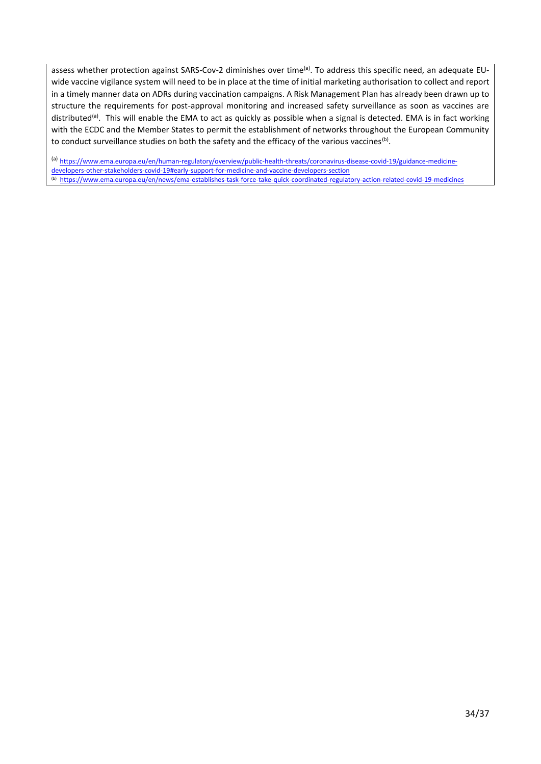assess whether protection against SARS-Cov-2 diminishes over time<sup>(a)</sup>. To address this specific need, an adequate EUwide vaccine vigilance system will need to be in place at the time of initial marketing authorisation to collect and report in a timely manner data on ADRs during vaccination campaigns. A Risk Management Plan has already been drawn up to structure the requirements for post-approval monitoring and increased safety surveillance as soon as vaccines are distributed<sup>(a)</sup>. This will enable the EMA to act as quickly as possible when a signal is detected. EMA is in fact working with the ECDC and the Member States to permit the establishment of networks throughout the European Community to conduct surveillance studies on both the safety and the efficacy of the various vaccines<sup>(b)</sup>.

(a) [https://www.ema.europa.eu/en/human-regulatory/overview/public-health-threats/coronavirus-disease-covid-19/guidance-medicine](https://www.ema.europa.eu/en/human-regulatory/overview/public-health-threats/coronavirus-disease-covid-19/guidance-medicine-developers-other-stakeholders-covid-19#early-support-for-medicine-and-vaccine-developers-section)[developers-other-stakeholders-covid-19#early-support-for-medicine-and-vaccine-developers-section](https://www.ema.europa.eu/en/human-regulatory/overview/public-health-threats/coronavirus-disease-covid-19/guidance-medicine-developers-other-stakeholders-covid-19#early-support-for-medicine-and-vaccine-developers-section) (b) <https://www.ema.europa.eu/en/news/ema-establishes-task-force-take-quick-coordinated-regulatory-action-related-covid-19-medicines>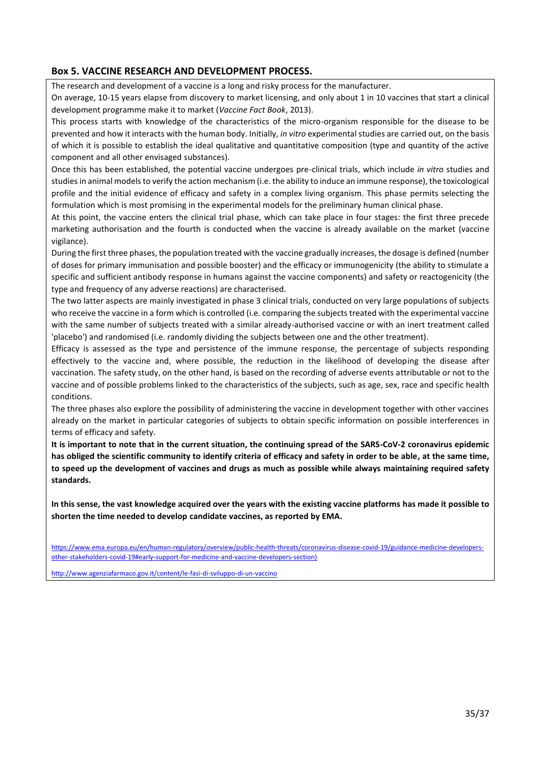#### <span id="page-34-0"></span>**Box 5. VACCINE RESEARCH AND DEVELOPMENT PROCESS.**

The research and development of a vaccine is a long and risky process for the manufacturer.

On average, 10-15 years elapse from discovery to market licensing, and only about 1 in 10 vaccines that start a clinical development programme make it to market (*Vaccine Fact Book*, 2013).

This process starts with knowledge of the characteristics of the micro-organism responsible for the disease to be prevented and how it interacts with the human body. Initially, *in vitro* experimental studies are carried out, on the basis of which it is possible to establish the ideal qualitative and quantitative composition (type and quantity of the active component and all other envisaged substances).

Once this has been established, the potential vaccine undergoes pre-clinical trials, which include *in vitro* studies and studies in animal models to verify the action mechanism (i.e. the ability to induce an immune response), the toxicological profile and the initial evidence of efficacy and safety in a complex living organism. This phase permits selecting the formulation which is most promising in the experimental models for the preliminary human clinical phase.

At this point, the vaccine enters the clinical trial phase, which can take place in four stages: the first three precede marketing authorisation and the fourth is conducted when the vaccine is already available on the market (vaccine vigilance).

During the first three phases, the population treated with the vaccine gradually increases, the dosage is defined (number of doses for primary immunisation and possible booster) and the efficacy or immunogenicity (the ability to stimulate a specific and sufficient antibody response in humans against the vaccine components) and safety or reactogenicity (the type and frequency of any adverse reactions) are characterised.

The two latter aspects are mainly investigated in phase 3 clinical trials, conducted on very large populations of subjects who receive the vaccine in a form which is controlled (i.e. comparing the subjects treated with the experimental vaccine with the same number of subjects treated with a similar already-authorised vaccine or with an inert treatment called 'placebo') and randomised (i.e. randomly dividing the subjects between one and the other treatment).

Efficacy is assessed as the type and persistence of the immune response, the percentage of subjects responding effectively to the vaccine and, where possible, the reduction in the likelihood of developing the disease after vaccination. The safety study, on the other hand, is based on the recording of adverse events attributable or not to the vaccine and of possible problems linked to the characteristics of the subjects, such as age, sex, race and specific health conditions.

The three phases also explore the possibility of administering the vaccine in development together with other vaccines already on the market in particular categories of subjects to obtain specific information on possible interferences in terms of efficacy and safety.

**It is important to note that in the current situation, the continuing spread of the SARS-CoV-2 coronavirus epidemic has obliged the scientific community to identify criteria of efficacy and safety in order to be able, at the same time, to speed up the development of vaccines and drugs as much as possible while always maintaining required safety standards.** 

**In this sense, the vast knowledge acquired over the years with the existing vaccine platforms has made it possible to shorten the time needed to develop candidate vaccines, as reported by EMA.** 

[https://www.ema.europa.eu/en/human-regulatory/overview/public-health-threats/coronavirus-disease-covid-19/guidance-medicine-developers](https://www.ema.europa.eu/en/human-regulatory/overview/public-health-threats/coronavirus-disease-covid-19/guidance-medicine-developers-other-stakeholders-covid-19#early-support-for-medicine-and-vaccine-developers-section)[other-stakeholders-covid-19#early-support-for-medicine-and-vaccine-developers-section\)](https://www.ema.europa.eu/en/human-regulatory/overview/public-health-threats/coronavirus-disease-covid-19/guidance-medicine-developers-other-stakeholders-covid-19#early-support-for-medicine-and-vaccine-developers-section)

<http://www.agenziafarmaco.gov.it/content/le-fasi-di-sviluppo-di-un-vaccino>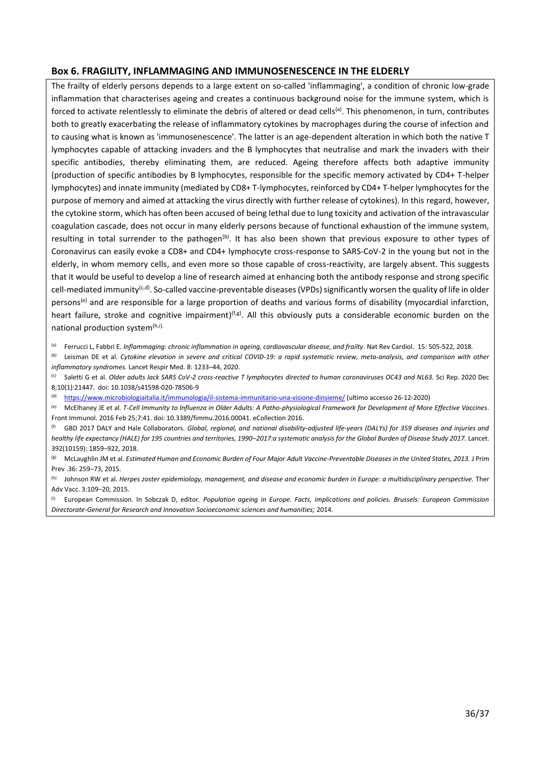#### <span id="page-35-0"></span>**Box 6. FRAGILITY, INFLAMMAGING AND IMMUNOSENESCENCE IN THE ELDERLY**

The frailty of elderly persons depends to a large extent on so-called 'inflammaging', a condition of chronic low-grade inflammation that characterises ageing and creates a continuous background noise for the immune system, which is forced to activate relentlessly to eliminate the debris of altered or dead cells<sup>(a)</sup>. This phenomenon, in turn, contributes both to greatly exacerbating the release of inflammatory cytokines by macrophages during the course of infection and to causing what is known as 'immunosenescence'. The latter is an age-dependent alteration in which both the native T lymphocytes capable of attacking invaders and the B lymphocytes that neutralise and mark the invaders with their specific antibodies, thereby eliminating them, are reduced. Ageing therefore affects both adaptive immunity (production of specific antibodies by B lymphocytes, responsible for the specific memory activated by CD4+ T-helper lymphocytes) and innate immunity (mediated by CD8+ T-lymphocytes, reinforced by CD4+ T-helper lymphocytes for the purpose of memory and aimed at attacking the virus directly with further release of cytokines). In this regard, however, the cytokine storm, which has often been accused of being lethal due to lung toxicity and activation of the intravascular coagulation cascade, does not occur in many elderly persons because of functional exhaustion of the immune system, resulting in total surrender to the pathogen<sup>(b)</sup>. It has also been shown that previous exposure to other types of Coronavirus can easily evoke a CD8+ and CD4+ lymphocyte cross-response to SARS-CoV-2 in the young but not in the elderly, in whom memory cells, and even more so those capable of cross-reactivity, are largely absent. This suggests that it would be useful to develop a line of research aimed at enhancing both the antibody response and strong specific cell-mediated immunity<sup>(c,d)</sup>. So-called vaccine-preventable diseases (VPDs) significantly worsen the quality of life in older persons<sup>(e)</sup> and are responsible for a large proportion of deaths and various forms of disability (myocardial infarction, heart failure, stroke and cognitive impairment)<sup>(f,g)</sup>. All this obviously puts a considerable economic burden on the national production system<sup>(h,i).</sup>

Ferrucci L, Fabbri E. Inflammaging: chronic inflammation in ageing, cardiovascular disease, and frailty. Nat Rev Cardiol. 15: 505-522, 2018.

Leisman DE et al. Cytokine elevation in severe and critical COVID-19: a rapid systematic review, meta-analysis, and comparison with other *inflammatory syndromes.* Lancet Respir Med. 8: 1233–44, 2020.

(c) Saletti G et al. *Older adults lack SARS CoV*‑*2 cross*‑*reactive T lymphocytes directed to human coronaviruses OC43 and NL63.* Sci Rep. 2020 Dec 8;10(1):21447. doi: 10.1038/s41598-020-78506-9

(d) <https://www.microbiologiaitalia.it/immunologia/il-sistema-immunitario-una-visione-dinsieme/> (ultimo accesso 26-12-2020)

(e) McElhaney JE et al. *T-Cell Immunity to Influenza in Older Adults: A Patho-physiological Framework for Development of More Effective Vaccines*. Front Immunol. 2016 Feb 25;7:41. doi: 10.3389/fimmu.2016.00041. eCollection 2016.

(f) GBD 2017 DALY and Hale Collaborators. *Global, regional, and national disability-adjusted life-years (DALYs) for 359 diseases and injuries and healthy life expectancy (HALE) for 195 countries and territories, 1990–2017:a systematic analysis for the Global Burden of Disease Study 2017.* Lancet. 392(10159): 1859–922, 2018.

(g) McLaughlin JM et al. *Estimated Human and Economic Burden of Four Major Adult Vaccine-Preventable Diseases in the United States, 2013.* J Prim Prev .36: 259–73, 2015.

(h) Johnson RW et al. *Herpes zoster epidemiology, management, and disease and economic burden in Europe: a multidisciplinary perspective*. Ther Adv Vacc. 3:109–20, 2015.

(i) European Commission. In Sobczak D, editor*. Population ageing in Europe. Facts, implications and policies. Brussels: European Commission Directorate-General for Research and Innovation Socioeconomic sciences and humanities;* 2014.